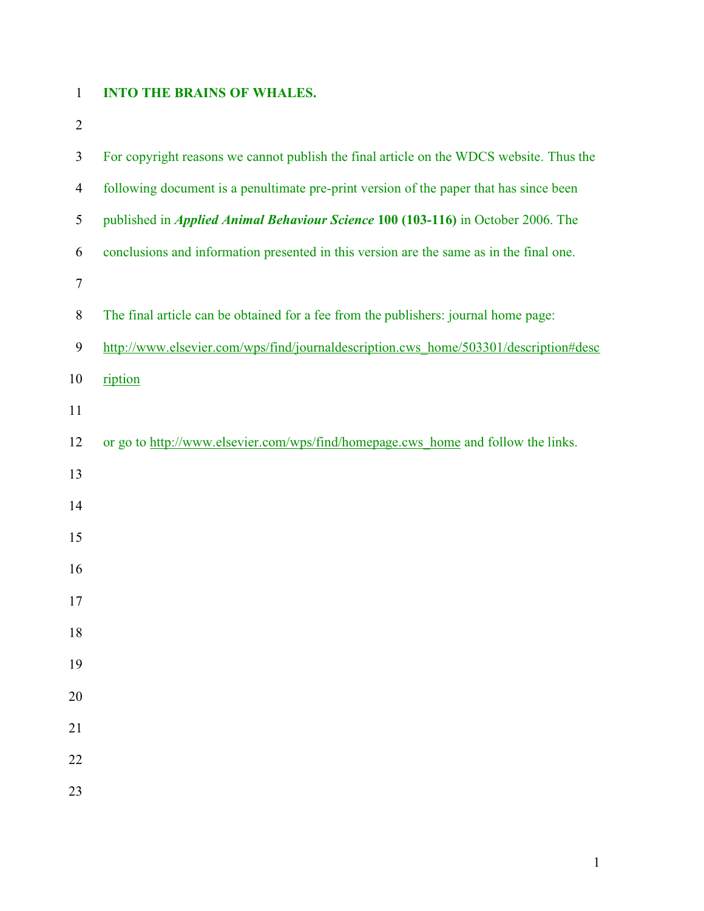## **INTO THE BRAINS OF WHALES.**

| $\mathfrak{Z}$ | For copyright reasons we cannot publish the final article on the WDCS website. Thus the |
|----------------|-----------------------------------------------------------------------------------------|
| $\overline{4}$ | following document is a penultimate pre-print version of the paper that has since been  |
| $\mathfrak s$  | published in <i>Applied Animal Behaviour Science</i> 100 (103-116) in October 2006. The |
| 6              | conclusions and information presented in this version are the same as in the final one. |
| $\overline{7}$ |                                                                                         |
| $8\,$          | The final article can be obtained for a fee from the publishers: journal home page:     |
| 9              | http://www.elsevier.com/wps/find/journaldescription.cws home/503301/description#desc    |
| 10             | ription                                                                                 |
| 11             |                                                                                         |
| 12             | or go to http://www.elsevier.com/wps/find/homepage.cws_home and follow the links.       |
| 13             |                                                                                         |
| 14             |                                                                                         |
| 15             |                                                                                         |
| 16             |                                                                                         |
| 17             |                                                                                         |
| 18             |                                                                                         |
| 19             |                                                                                         |
| 20             |                                                                                         |
| 21             |                                                                                         |
| 22             |                                                                                         |
| 23             |                                                                                         |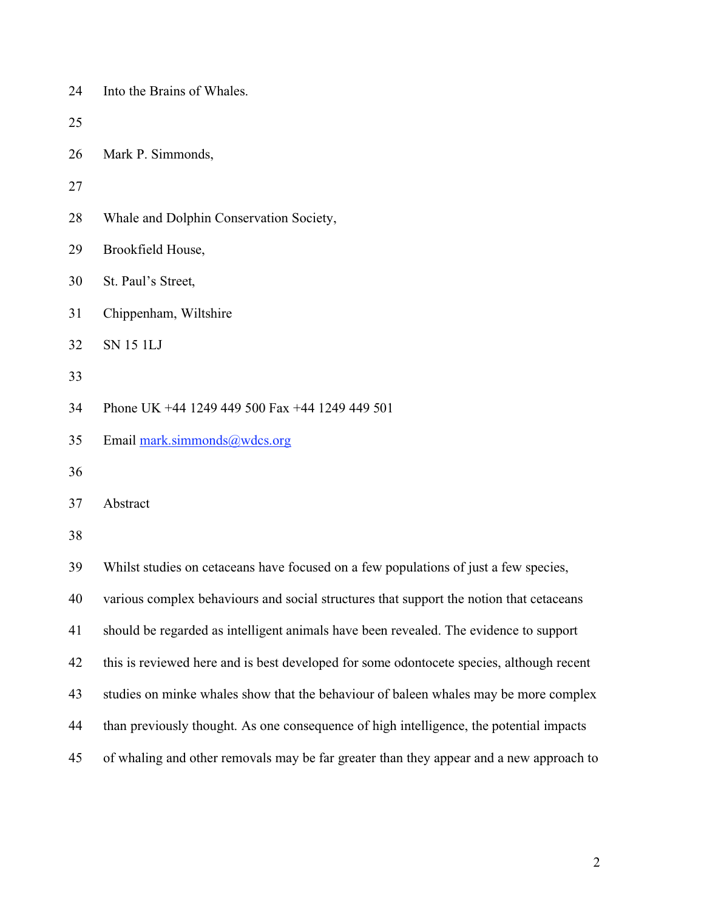| 24 | Into the Brains of Whales.                                                               |
|----|------------------------------------------------------------------------------------------|
| 25 |                                                                                          |
| 26 | Mark P. Simmonds,                                                                        |
| 27 |                                                                                          |
| 28 | Whale and Dolphin Conservation Society,                                                  |
| 29 | Brookfield House,                                                                        |
| 30 | St. Paul's Street,                                                                       |
| 31 | Chippenham, Wiltshire                                                                    |
| 32 | <b>SN 15 1LJ</b>                                                                         |
| 33 |                                                                                          |
| 34 | Phone UK +44 1249 449 500 Fax +44 1249 449 501                                           |
| 35 | Email mark.simmonds@wdcs.org                                                             |
| 36 |                                                                                          |
| 37 | Abstract                                                                                 |
| 38 |                                                                                          |
| 39 | Whilst studies on cetaceans have focused on a few populations of just a few species,     |
| 40 | various complex behaviours and social structures that support the notion that cetaceans  |
| 41 | should be regarded as intelligent animals have been revealed. The evidence to support    |
| 42 | this is reviewed here and is best developed for some odontocete species, although recent |
| 43 | studies on minke whales show that the behaviour of baleen whales may be more complex     |
| 44 | than previously thought. As one consequence of high intelligence, the potential impacts  |
| 45 | of whaling and other removals may be far greater than they appear and a new approach to  |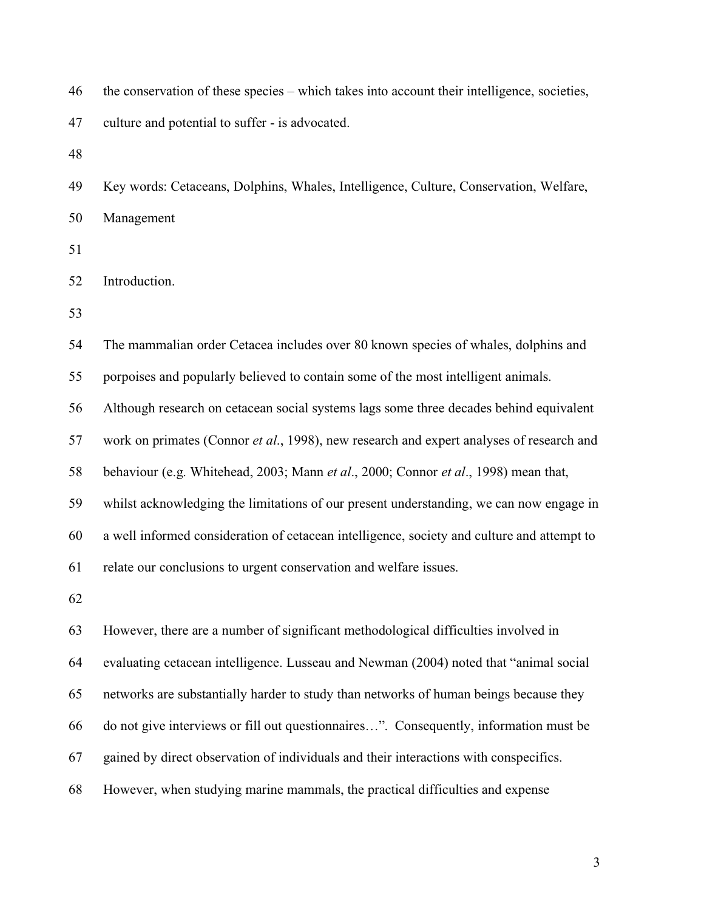| 46 | the conservation of these species – which takes into account their intelligence, societies, |
|----|---------------------------------------------------------------------------------------------|
| 47 | culture and potential to suffer - is advocated.                                             |
| 48 |                                                                                             |
| 49 | Key words: Cetaceans, Dolphins, Whales, Intelligence, Culture, Conservation, Welfare,       |
| 50 | Management                                                                                  |
| 51 |                                                                                             |
| 52 | Introduction.                                                                               |
| 53 |                                                                                             |
| 54 | The mammalian order Cetacea includes over 80 known species of whales, dolphins and          |
| 55 | porpoises and popularly believed to contain some of the most intelligent animals.           |
| 56 | Although research on cetacean social systems lags some three decades behind equivalent      |
| 57 | work on primates (Connor et al., 1998), new research and expert analyses of research and    |
| 58 | behaviour (e.g. Whitehead, 2003; Mann et al., 2000; Connor et al., 1998) mean that,         |
| 59 | whilst acknowledging the limitations of our present understanding, we can now engage in     |
| 60 | a well informed consideration of cetacean intelligence, society and culture and attempt to  |
| 61 | relate our conclusions to urgent conservation and welfare issues.                           |
| 62 |                                                                                             |
| 63 | However, there are a number of significant methodological difficulties involved in          |
| 64 | evaluating cetacean intelligence. Lusseau and Newman (2004) noted that "animal social       |
| 65 | networks are substantially harder to study than networks of human beings because they       |
| 66 | do not give interviews or fill out questionnaires". Consequently, information must be       |
| 67 | gained by direct observation of individuals and their interactions with conspecifics.       |
| 68 | However, when studying marine mammals, the practical difficulties and expense               |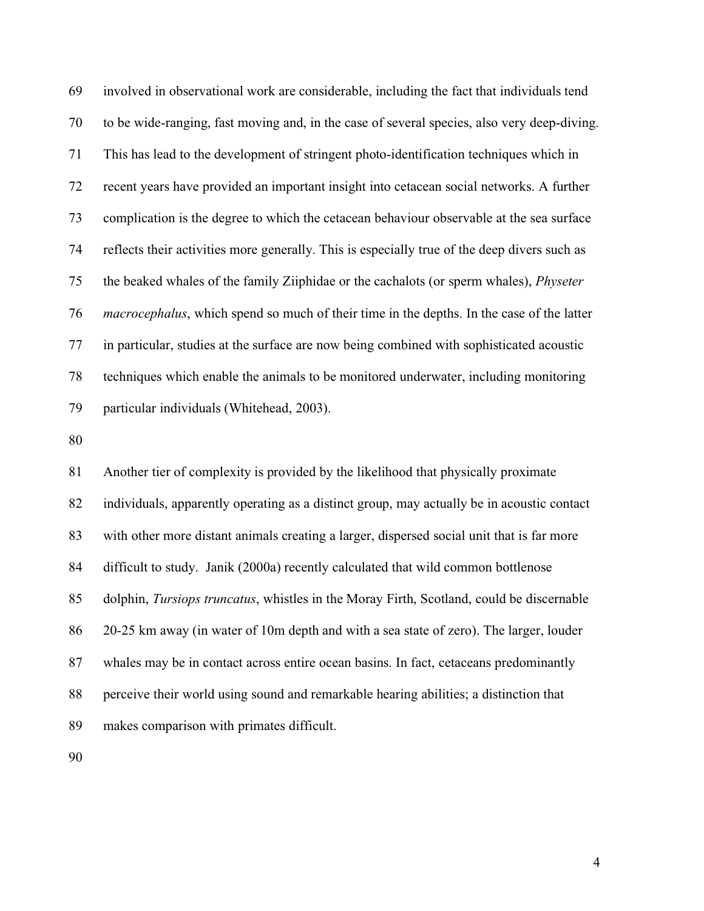69 involved in observational work are considerable, including the fact that individuals tend 70 to be wide-ranging, fast moving and, in the case of several species, also very deep-diving. 71 This has lead to the development of stringent photo-identification techniques which in 72 recent years have provided an important insight into cetacean social networks. A further 73 complication is the degree to which the cetacean behaviour observable at the sea surface 74 reflects their activities more generally. This is especially true of the deep divers such as 75 the beaked whales of the family Ziiphidae or the cachalots (or sperm whales), *Physeter*  76 *macrocephalus*, which spend so much of their time in the depths. In the case of the latter 77 in particular, studies at the surface are now being combined with sophisticated acoustic 78 techniques which enable the animals to be monitored underwater, including monitoring 79 particular individuals (Whitehead, 2003).

80

81 Another tier of complexity is provided by the likelihood that physically proximate 82 individuals, apparently operating as a distinct group, may actually be in acoustic contact 83 with other more distant animals creating a larger, dispersed social unit that is far more 84 difficult to study. Janik (2000a) recently calculated that wild common bottlenose 85 dolphin, *Tursiops truncatus*, whistles in the Moray Firth, Scotland, could be discernable 86 20-25 km away (in water of 10m depth and with a sea state of zero). The larger, louder 87 whales may be in contact across entire ocean basins. In fact, cetaceans predominantly 88 perceive their world using sound and remarkable hearing abilities; a distinction that 89 makes comparison with primates difficult.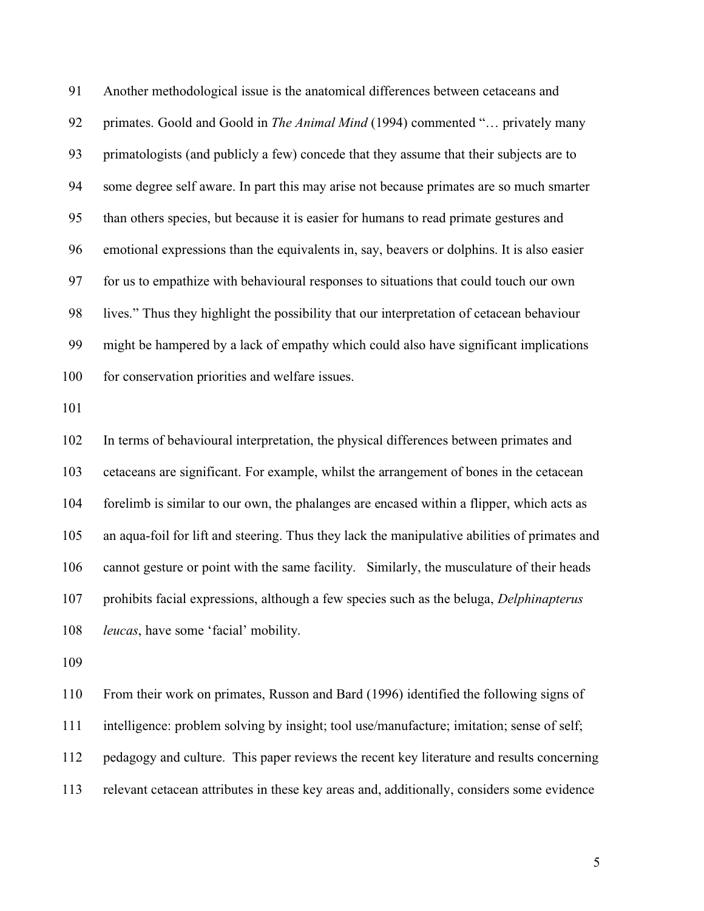91 Another methodological issue is the anatomical differences between cetaceans and 92 primates. Goold and Goold in *The Animal Mind* (1994) commented "... privately many 93 primatologists (and publicly a few) concede that they assume that their subjects are to 94 some degree self aware. In part this may arise not because primates are so much smarter 95 than others species, but because it is easier for humans to read primate gestures and 96 emotional expressions than the equivalents in, say, beavers or dolphins. It is also easier 97 for us to empathize with behavioural responses to situations that could touch our own 98 lives." Thus they highlight the possibility that our interpretation of cetacean behaviour 99 might be hampered by a lack of empathy which could also have significant implications 100 for conservation priorities and welfare issues.

101

102 In terms of behavioural interpretation, the physical differences between primates and 103 cetaceans are significant. For example, whilst the arrangement of bones in the cetacean 104 forelimb is similar to our own, the phalanges are encased within a flipper, which acts as 105 an aqua-foil for lift and steering. Thus they lack the manipulative abilities of primates and 106 cannot gesture or point with the same facility. Similarly, the musculature of their heads 107 prohibits facial expressions, although a few species such as the beluga, *Delphinapterus*  108 *leucas*, have some 'facial' mobility.

109

110 From their work on primates, Russon and Bard (1996) identified the following signs of 111 intelligence: problem solving by insight; tool use/manufacture; imitation; sense of self; 112 pedagogy and culture. This paper reviews the recent key literature and results concerning 113 relevant cetacean attributes in these key areas and, additionally, considers some evidence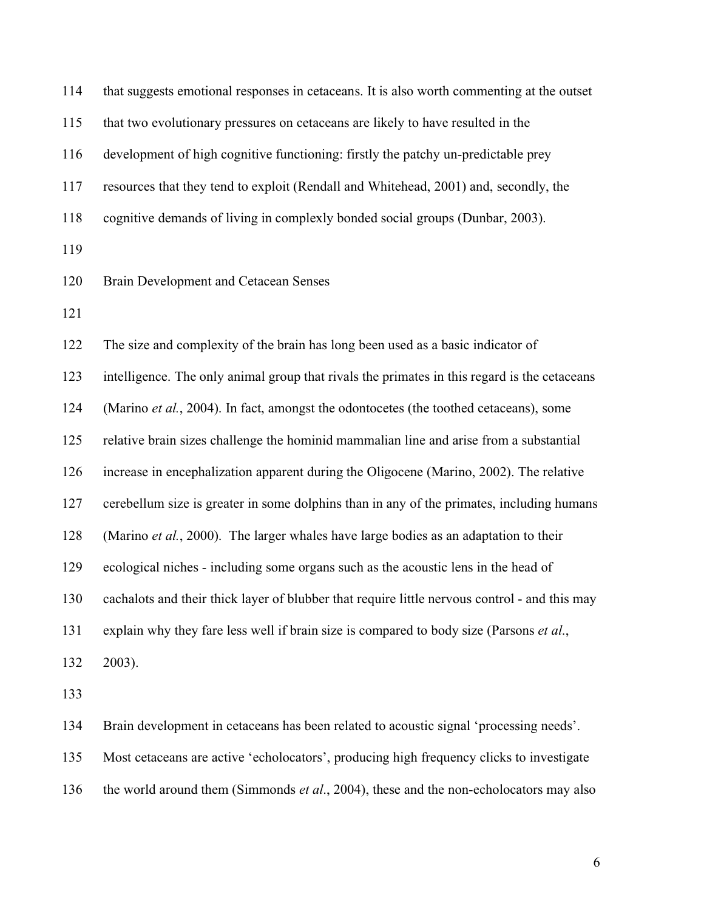| 114 | that suggests emotional responses in cetaceans. It is also worth commenting at the outset     |
|-----|-----------------------------------------------------------------------------------------------|
| 115 | that two evolutionary pressures on cetaceans are likely to have resulted in the               |
| 116 | development of high cognitive functioning: firstly the patchy un-predictable prey             |
| 117 | resources that they tend to exploit (Rendall and Whitehead, 2001) and, secondly, the          |
| 118 | cognitive demands of living in complexly bonded social groups (Dunbar, 2003).                 |
| 119 |                                                                                               |
| 120 | Brain Development and Cetacean Senses                                                         |
| 121 |                                                                                               |
| 122 | The size and complexity of the brain has long been used as a basic indicator of               |
| 123 | intelligence. The only animal group that rivals the primates in this regard is the cetaceans  |
| 124 | (Marino et al., 2004). In fact, amongst the odontocetes (the toothed cetaceans), some         |
| 125 | relative brain sizes challenge the hominid mammalian line and arise from a substantial        |
| 126 | increase in encephalization apparent during the Oligocene (Marino, 2002). The relative        |
| 127 | cerebellum size is greater in some dolphins than in any of the primates, including humans     |
| 128 | (Marino et al., 2000). The larger whales have large bodies as an adaptation to their          |
| 129 | ecological niches - including some organs such as the acoustic lens in the head of            |
| 130 | cachalots and their thick layer of blubber that require little nervous control - and this may |
| 131 | explain why they fare less well if brain size is compared to body size (Parsons et al.,       |
| 132 | 2003).                                                                                        |
| 133 |                                                                                               |
| 134 | Brain development in cetaceans has been related to acoustic signal 'processing needs'.        |
| 135 | Most cetaceans are active 'echolocators', producing high frequency clicks to investigate      |
|     |                                                                                               |

136 the world around them (Simmonds *et al*., 2004), these and the non-echolocators may also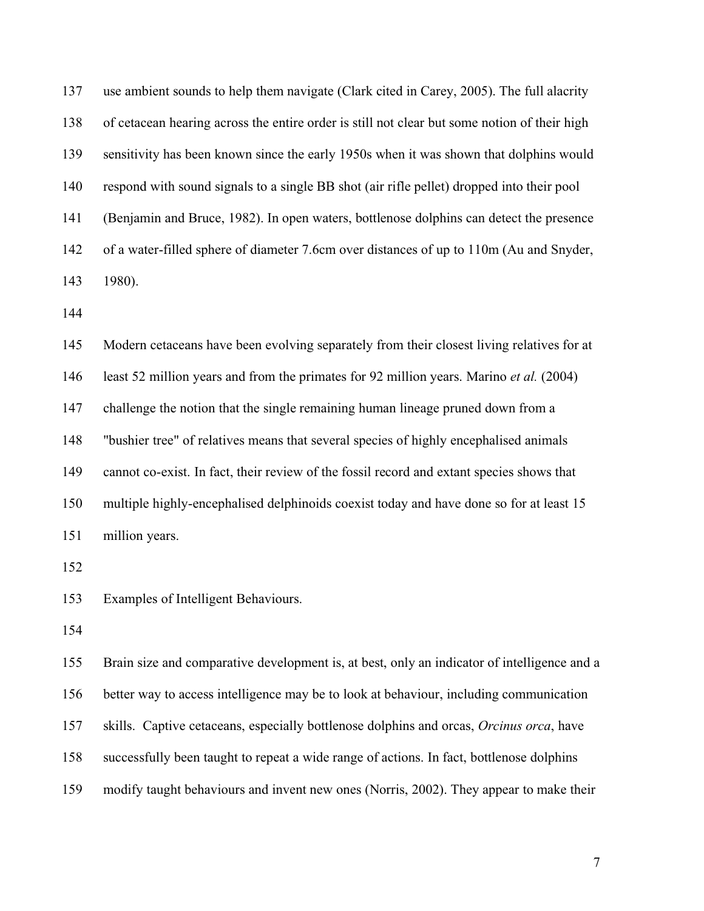137 use ambient sounds to help them navigate (Clark cited in Carey, 2005). The full alacrity 138 of cetacean hearing across the entire order is still not clear but some notion of their high 139 sensitivity has been known since the early 1950s when it was shown that dolphins would 140 respond with sound signals to a single BB shot (air rifle pellet) dropped into their pool 141 (Benjamin and Bruce, 1982). In open waters, bottlenose dolphins can detect the presence 142 of a water-filled sphere of diameter 7.6cm over distances of up to 110m (Au and Snyder, 143 1980).

144

145 Modern cetaceans have been evolving separately from their closest living relatives for at 146 least 52 million years and from the primates for 92 million years. Marino *et al.* (2004) 147 challenge the notion that the single remaining human lineage pruned down from a 148 "bushier tree" of relatives means that several species of highly encephalised animals 149 cannot co-exist. In fact, their review of the fossil record and extant species shows that 150 multiple highly-encephalised delphinoids coexist today and have done so for at least 15 151 million years.

152

153 Examples of Intelligent Behaviours.

154

155 Brain size and comparative development is, at best, only an indicator of intelligence and a 156 better way to access intelligence may be to look at behaviour, including communication 157 skills. Captive cetaceans, especially bottlenose dolphins and orcas, *Orcinus orca*, have 158 successfully been taught to repeat a wide range of actions. In fact, bottlenose dolphins 159 modify taught behaviours and invent new ones (Norris, 2002). They appear to make their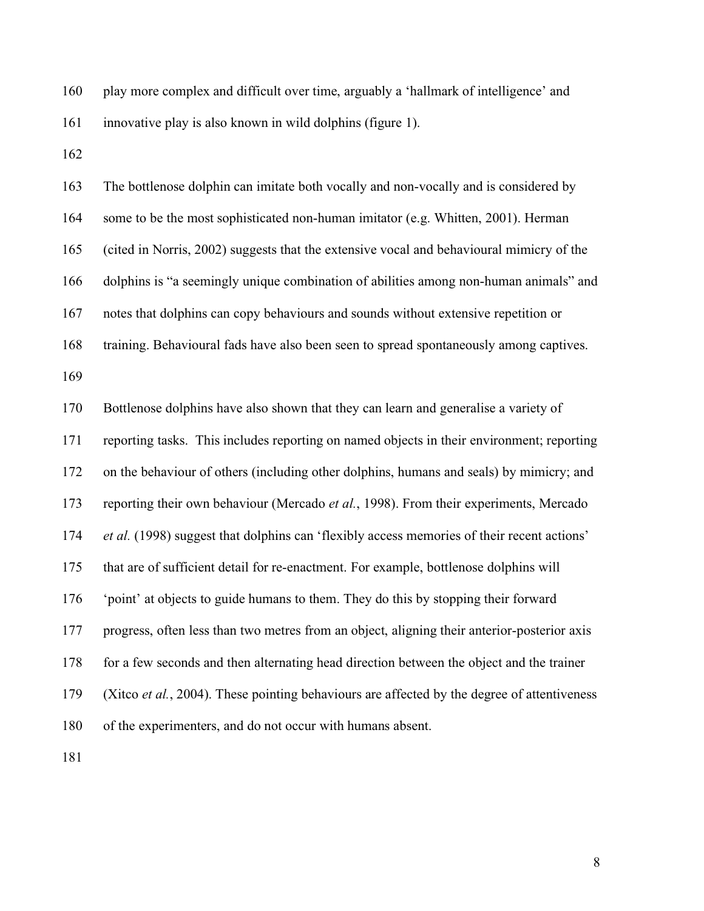160 play more complex and difficult over time, arguably a 'hallmark of intelligence' and 161 innovative play is also known in wild dolphins (figure 1).

162

163 The bottlenose dolphin can imitate both vocally and non-vocally and is considered by 164 some to be the most sophisticated non-human imitator (e.g. Whitten, 2001). Herman 165 (cited in Norris, 2002) suggests that the extensive vocal and behavioural mimicry of the 166 dolphins is "a seemingly unique combination of abilities among non-human animals" and 167 notes that dolphins can copy behaviours and sounds without extensive repetition or 168 training. Behavioural fads have also been seen to spread spontaneously among captives. 169 170 Bottlenose dolphins have also shown that they can learn and generalise a variety of 171 reporting tasks. This includes reporting on named objects in their environment; reporting 172 on the behaviour of others (including other dolphins, humans and seals) by mimicry; and 173 reporting their own behaviour (Mercado *et al.*, 1998). From their experiments, Mercado 174 *et al.* (1998) suggest that dolphins can 'flexibly access memories of their recent actions' 175 that are of sufficient detail for re-enactment. For example, bottlenose dolphins will 176 'point' at objects to guide humans to them. They do this by stopping their forward 177 progress, often less than two metres from an object, aligning their anterior-posterior axis 178 for a few seconds and then alternating head direction between the object and the trainer 179 (Xitco *et al.*, 2004). These pointing behaviours are affected by the degree of attentiveness 180 of the experimenters, and do not occur with humans absent.

181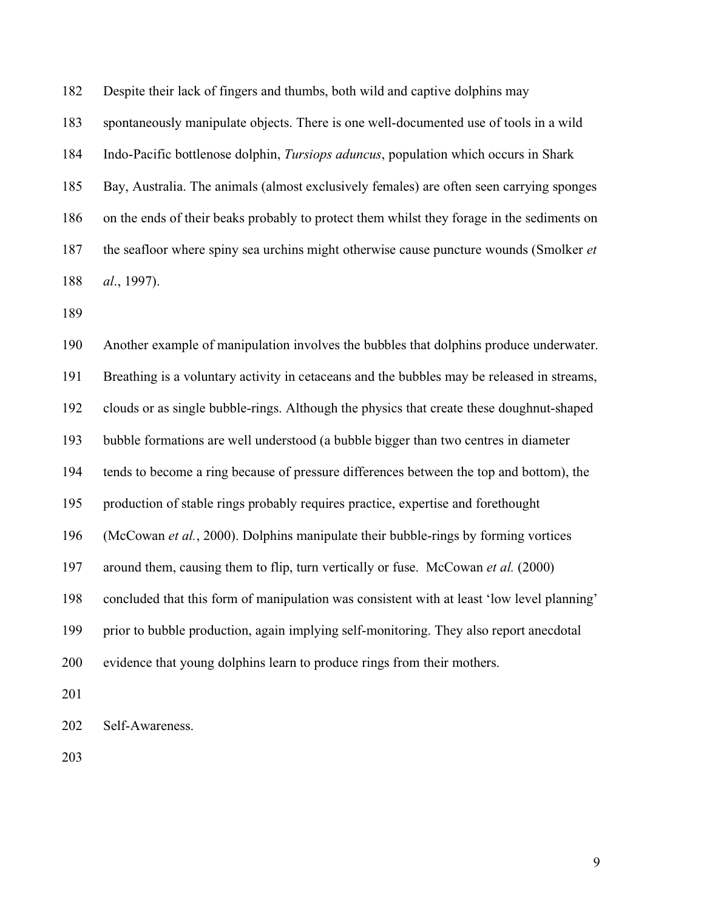182 Despite their lack of fingers and thumbs, both wild and captive dolphins may

183 spontaneously manipulate objects. There is one well-documented use of tools in a wild

184 Indo-Pacific bottlenose dolphin, *Tursiops aduncus*, population which occurs in Shark

185 Bay, Australia. The animals (almost exclusively females) are often seen carrying sponges

186 on the ends of their beaks probably to protect them whilst they forage in the sediments on

187 the seafloor where spiny sea urchins might otherwise cause puncture wounds (Smolker *et*  188 *al*., 1997).

189

190 Another example of manipulation involves the bubbles that dolphins produce underwater. 191 Breathing is a voluntary activity in cetaceans and the bubbles may be released in streams, 192 clouds or as single bubble-rings. Although the physics that create these doughnut-shaped 193 bubble formations are well understood (a bubble bigger than two centres in diameter 194 tends to become a ring because of pressure differences between the top and bottom), the 195 production of stable rings probably requires practice, expertise and forethought 196 (McCowan *et al.*, 2000). Dolphins manipulate their bubble-rings by forming vortices 197 around them, causing them to flip, turn vertically or fuse. McCowan *et al.* (2000) 198 concluded that this form of manipulation was consistent with at least 'low level planning' 199 prior to bubble production, again implying self-monitoring. They also report anecdotal 200 evidence that young dolphins learn to produce rings from their mothers. 201 202 Self-Awareness.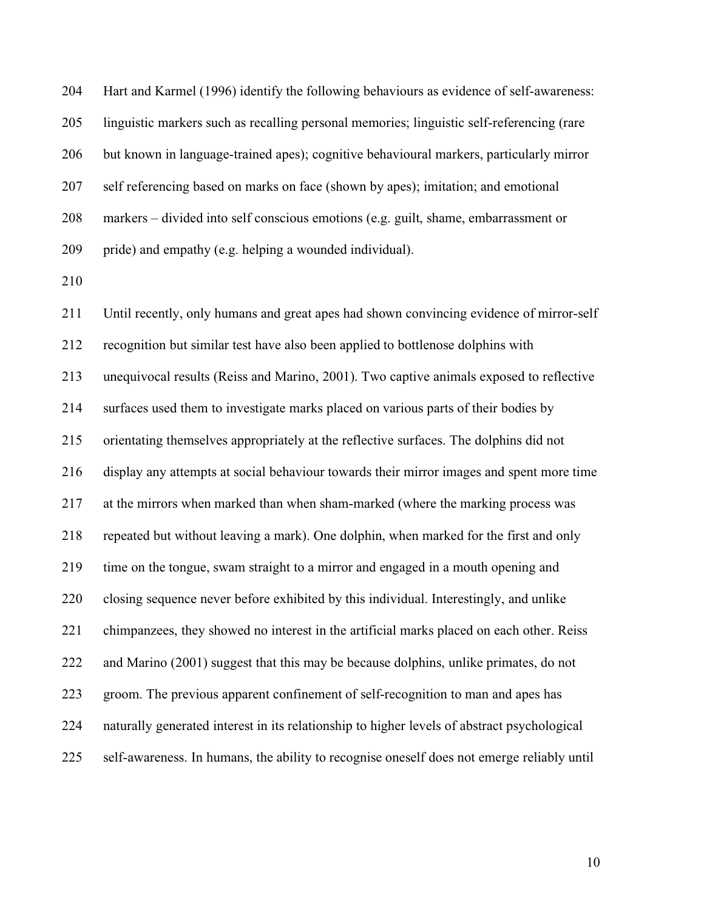204 Hart and Karmel (1996) identify the following behaviours as evidence of self-awareness: 205 linguistic markers such as recalling personal memories; linguistic self-referencing (rare 206 but known in language-trained apes); cognitive behavioural markers, particularly mirror 207 self referencing based on marks on face (shown by apes); imitation; and emotional 208 markers – divided into self conscious emotions (e.g. guilt, shame, embarrassment or 209 pride) and empathy (e.g. helping a wounded individual).

210

211 Until recently, only humans and great apes had shown convincing evidence of mirror-self 212 recognition but similar test have also been applied to bottlenose dolphins with 213 unequivocal results (Reiss and Marino, 2001). Two captive animals exposed to reflective 214 surfaces used them to investigate marks placed on various parts of their bodies by 215 orientating themselves appropriately at the reflective surfaces. The dolphins did not 216 display any attempts at social behaviour towards their mirror images and spent more time 217 at the mirrors when marked than when sham-marked (where the marking process was 218 repeated but without leaving a mark). One dolphin, when marked for the first and only 219 time on the tongue, swam straight to a mirror and engaged in a mouth opening and 220 closing sequence never before exhibited by this individual. Interestingly, and unlike 221 chimpanzees, they showed no interest in the artificial marks placed on each other. Reiss 222 and Marino (2001) suggest that this may be because dolphins, unlike primates, do not 223 groom. The previous apparent confinement of self-recognition to man and apes has 224 naturally generated interest in its relationship to higher levels of abstract psychological 225 self-awareness. In humans, the ability to recognise oneself does not emerge reliably until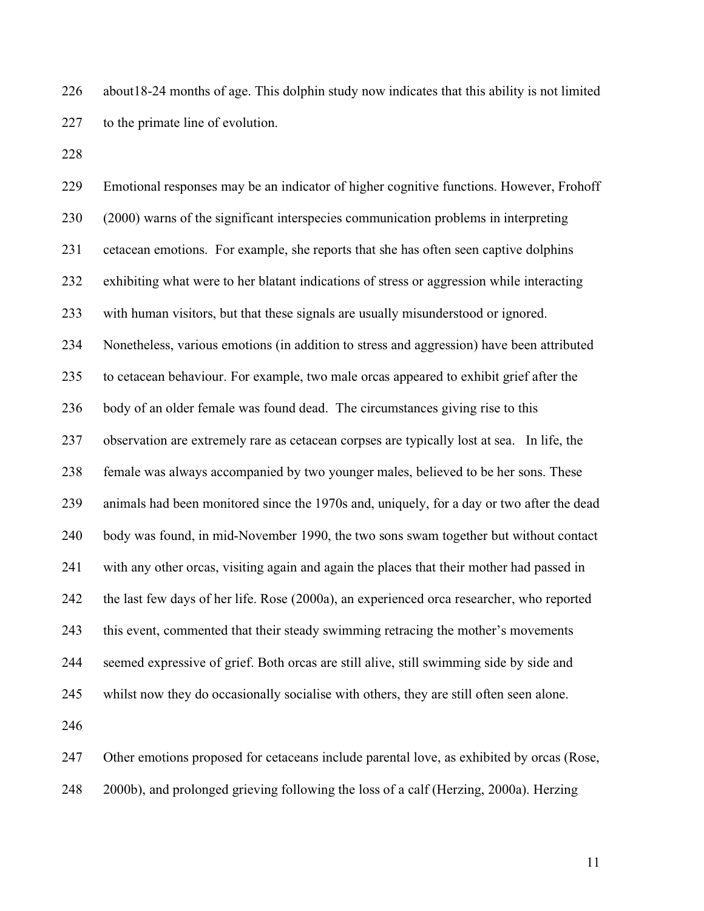226 about18-24 months of age. This dolphin study now indicates that this ability is not limited 227 to the primate line of evolution.

228

229 Emotional responses may be an indicator of higher cognitive functions. However, Frohoff 230 (2000) warns of the significant interspecies communication problems in interpreting 231 cetacean emotions. For example, she reports that she has often seen captive dolphins 232 exhibiting what were to her blatant indications of stress or aggression while interacting 233 with human visitors, but that these signals are usually misunderstood or ignored. 234 Nonetheless, various emotions (in addition to stress and aggression) have been attributed 235 to cetacean behaviour. For example, two male orcas appeared to exhibit grief after the 236 body of an older female was found dead. The circumstances giving rise to this 237 observation are extremely rare as cetacean corpses are typically lost at sea. In life, the 238 female was always accompanied by two younger males, believed to be her sons. These 239 animals had been monitored since the 1970s and, uniquely, for a day or two after the dead 240 body was found, in mid-November 1990, the two sons swam together but without contact 241 with any other orcas, visiting again and again the places that their mother had passed in 242 the last few days of her life. Rose (2000a), an experienced orca researcher, who reported 243 this event, commented that their steady swimming retracing the mother's movements 244 seemed expressive of grief. Both orcas are still alive, still swimming side by side and 245 whilst now they do occasionally socialise with others, they are still often seen alone. 246

247 Other emotions proposed for cetaceans include parental love, as exhibited by orcas (Rose, 248 2000b), and prolonged grieving following the loss of a calf (Herzing, 2000a). Herzing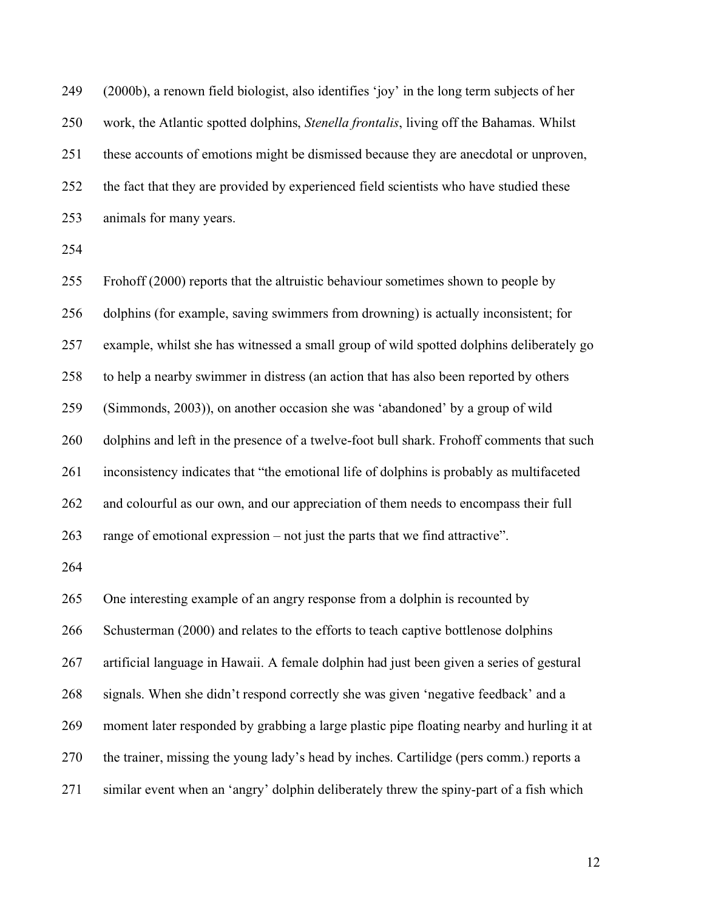| 249 | (2000b), a renown field biologist, also identifies 'joy' in the long term subjects of her |
|-----|-------------------------------------------------------------------------------------------|
| 250 | work, the Atlantic spotted dolphins, Stenella frontalis, living off the Bahamas. Whilst   |
| 251 | these accounts of emotions might be dismissed because they are anecdotal or unproven,     |
| 252 | the fact that they are provided by experienced field scientists who have studied these    |
| 253 | animals for many years.                                                                   |
| 254 |                                                                                           |
| 255 | Frohoff (2000) reports that the altruistic behaviour sometimes shown to people by         |
| 256 | dolphins (for example, saving swimmers from drowning) is actually inconsistent; for       |
| 257 | example, whilst she has witnessed a small group of wild spotted dolphins deliberately go  |
| 258 | to help a nearby swimmer in distress (an action that has also been reported by others     |
| 259 | (Simmonds, 2003)), on another occasion she was 'abandoned' by a group of wild             |
| 260 | dolphins and left in the presence of a twelve-foot bull shark. Frohoff comments that such |
| 261 | inconsistency indicates that "the emotional life of dolphins is probably as multifaceted  |
| 262 | and colourful as our own, and our appreciation of them needs to encompass their full      |
| 263 | range of emotional expression $-$ not just the parts that we find attractive".            |
| 264 |                                                                                           |
| 265 | One interesting example of an angry response from a dolphin is recounted by               |
| 266 | Schusterman (2000) and relates to the efforts to teach captive bottlenose dolphins        |
| 267 | artificial language in Hawaii. A female dolphin had just been given a series of gestural  |
| 268 | signals. When she didn't respond correctly she was given 'negative feedback' and a        |
| 269 | moment later responded by grabbing a large plastic pipe floating nearby and hurling it at |
| 270 | the trainer, missing the young lady's head by inches. Cartilidge (pers comm.) reports a   |
| 271 | similar event when an 'angry' dolphin deliberately threw the spiny-part of a fish which   |
|     |                                                                                           |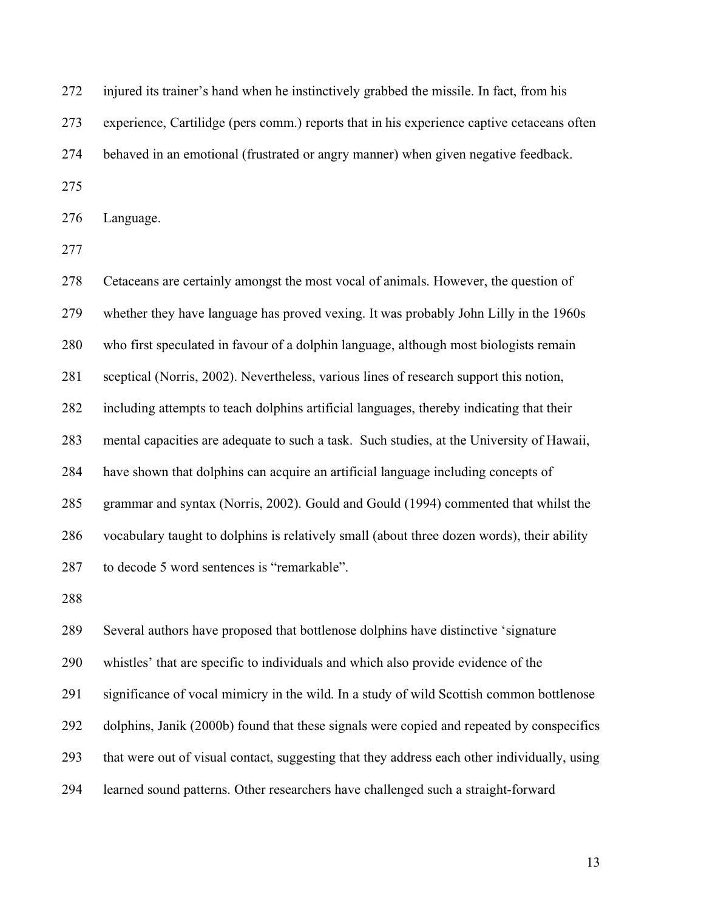| 272 | injured its trainer's hand when he instinctively grabbed the missile. In fact, from his    |
|-----|--------------------------------------------------------------------------------------------|
| 273 | experience, Cartilidge (pers comm.) reports that in his experience captive cetaceans often |
| 274 | behaved in an emotional (frustrated or angry manner) when given negative feedback.         |
| 275 |                                                                                            |
| 276 | Language.                                                                                  |
| 277 |                                                                                            |
| 278 | Cetaceans are certainly amongst the most vocal of animals. However, the question of        |
| 279 | whether they have language has proved vexing. It was probably John Lilly in the 1960s      |
| 280 | who first speculated in favour of a dolphin language, although most biologists remain      |
| 281 | sceptical (Norris, 2002). Nevertheless, various lines of research support this notion,     |
| 282 | including attempts to teach dolphins artificial languages, thereby indicating that their   |
| 283 | mental capacities are adequate to such a task. Such studies, at the University of Hawaii,  |

284 have shown that dolphins can acquire an artificial language including concepts of

287 to decode 5 word sentences is "remarkable".

285 grammar and syntax (Norris, 2002). Gould and Gould (1994) commented that whilst the

286 vocabulary taught to dolphins is relatively small (about three dozen words), their ability

288

289 Several authors have proposed that bottlenose dolphins have distinctive 'signature 290 whistles' that are specific to individuals and which also provide evidence of the 291 significance of vocal mimicry in the wild. In a study of wild Scottish common bottlenose 292 dolphins, Janik (2000b) found that these signals were copied and repeated by conspecifics 293 that were out of visual contact, suggesting that they address each other individually, using 294 learned sound patterns. Other researchers have challenged such a straight-forward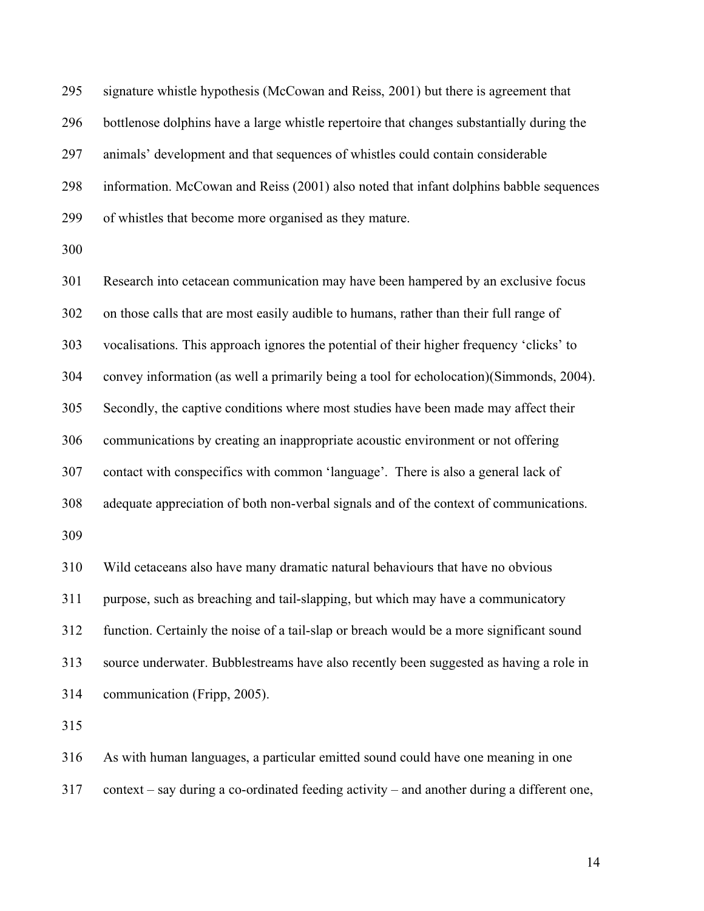295 signature whistle hypothesis (McCowan and Reiss, 2001) but there is agreement that 296 bottlenose dolphins have a large whistle repertoire that changes substantially during the 297 animals' development and that sequences of whistles could contain considerable 298 information. McCowan and Reiss (2001) also noted that infant dolphins babble sequences 299 of whistles that become more organised as they mature.

300

301 Research into cetacean communication may have been hampered by an exclusive focus 302 on those calls that are most easily audible to humans, rather than their full range of 303 vocalisations. This approach ignores the potential of their higher frequency 'clicks' to 304 convey information (as well a primarily being a tool for echolocation)(Simmonds, 2004). 305 Secondly, the captive conditions where most studies have been made may affect their 306 communications by creating an inappropriate acoustic environment or not offering 307 contact with conspecifics with common 'language'. There is also a general lack of 308 adequate appreciation of both non-verbal signals and of the context of communications. 309 310 Wild cetaceans also have many dramatic natural behaviours that have no obvious

311 purpose, such as breaching and tail-slapping, but which may have a communicatory 312 function. Certainly the noise of a tail-slap or breach would be a more significant sound 313 source underwater. Bubblestreams have also recently been suggested as having a role in 314 communication (Fripp, 2005).

315

316 As with human languages, a particular emitted sound could have one meaning in one

317 context – say during a co-ordinated feeding activity – and another during a different one,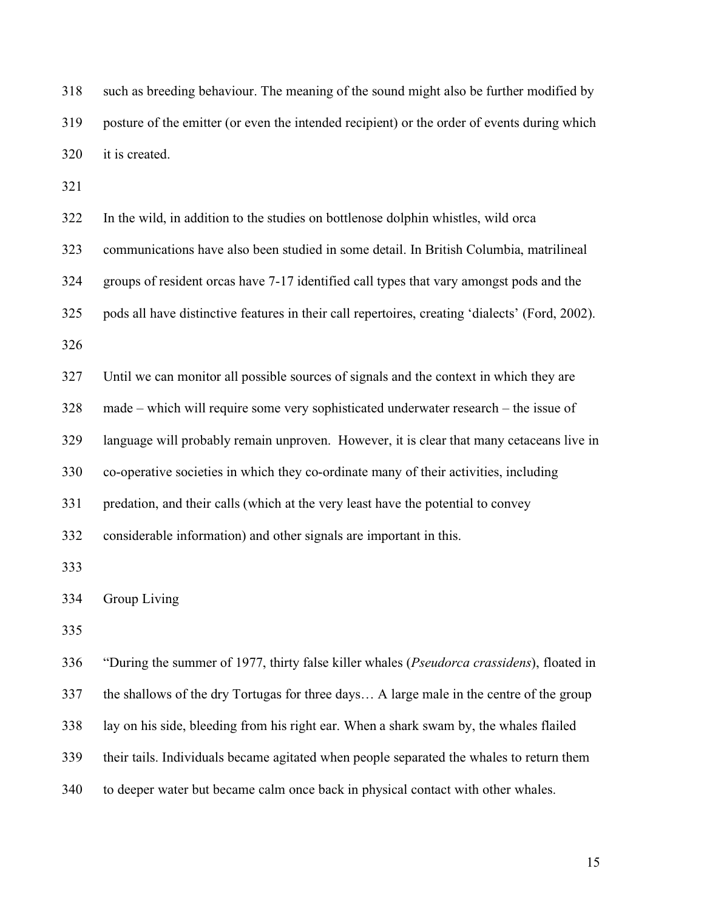318 such as breeding behaviour. The meaning of the sound might also be further modified by 319 posture of the emitter (or even the intended recipient) or the order of events during which 320 it is created.

321

| 322 | In the wild, in addition to the studies on bottlenose dolphin whistles, wild orca               |
|-----|-------------------------------------------------------------------------------------------------|
| 323 | communications have also been studied in some detail. In British Columbia, matrilineal          |
| 324 | groups of resident orcas have 7-17 identified call types that vary amongst pods and the         |
| 325 | pods all have distinctive features in their call repertoires, creating 'dialects' (Ford, 2002). |
| 326 |                                                                                                 |
| 327 | Until we can monitor all possible sources of signals and the context in which they are          |
| 328 | made – which will require some very sophisticated underwater research – the issue of            |
| 329 | language will probably remain unproven. However, it is clear that many cetaceans live in        |
| 330 | co-operative societies in which they co-ordinate many of their activities, including            |
| 331 | predation, and their calls (which at the very least have the potential to convey                |
| 332 | considerable information) and other signals are important in this.                              |
| 333 |                                                                                                 |
| 334 | Group Living                                                                                    |
| 335 |                                                                                                 |
| 336 | "During the summer of 1977, thirty false killer whales (Pseudorca crassidens), floated in       |
| 337 | the shallows of the dry Tortugas for three days A large male in the centre of the group         |
| 338 | lay on his side, bleeding from his right ear. When a shark swam by, the whales flailed          |
| 339 | their tails. Individuals became agitated when people separated the whales to return them        |

340 to deeper water but became calm once back in physical contact with other whales.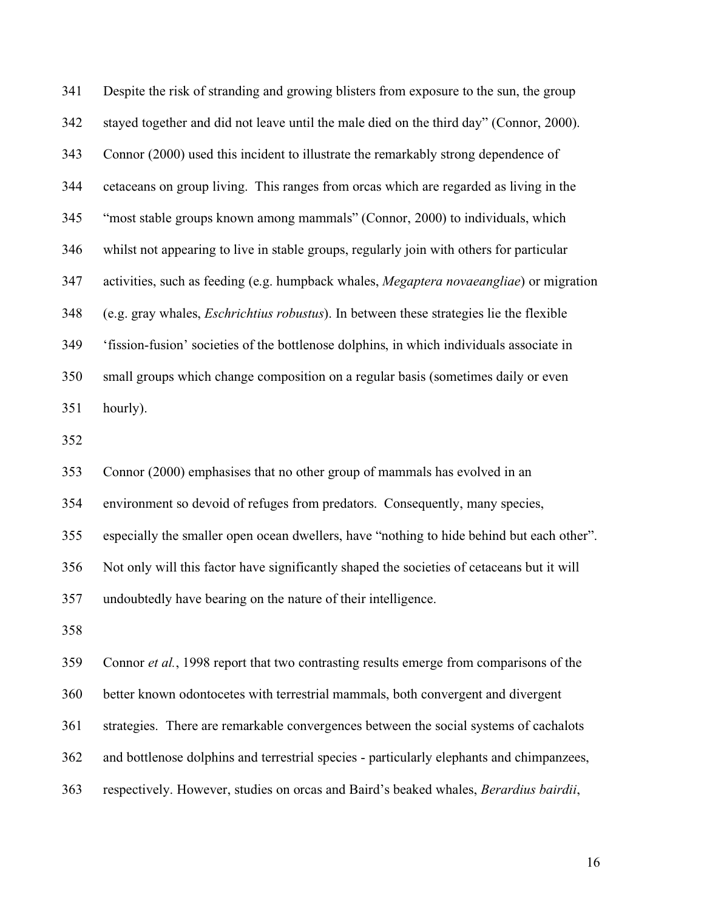341 Despite the risk of stranding and growing blisters from exposure to the sun, the group 342 stayed together and did not leave until the male died on the third day" (Connor, 2000). 343 Connor (2000) used this incident to illustrate the remarkably strong dependence of 344 cetaceans on group living. This ranges from orcas which are regarded as living in the 345 "most stable groups known among mammals" (Connor, 2000) to individuals, which 346 whilst not appearing to live in stable groups, regularly join with others for particular 347 activities, such as feeding (e.g. humpback whales, *Megaptera novaeangliae*) or migration 348 (e.g. gray whales, *Eschrichtius robustus*). In between these strategies lie the flexible 349 'fission-fusion' societies of the bottlenose dolphins, in which individuals associate in 350 small groups which change composition on a regular basis (sometimes daily or even 351 hourly).

352

353 Connor (2000) emphasises that no other group of mammals has evolved in an

354 environment so devoid of refuges from predators. Consequently, many species,

355 especially the smaller open ocean dwellers, have "nothing to hide behind but each other".

356 Not only will this factor have significantly shaped the societies of cetaceans but it will

357 undoubtedly have bearing on the nature of their intelligence.

358

359 Connor *et al.*, 1998 report that two contrasting results emerge from comparisons of the

360 better known odontocetes with terrestrial mammals, both convergent and divergent

361 strategies. There are remarkable convergences between the social systems of cachalots

362 and bottlenose dolphins and terrestrial species - particularly elephants and chimpanzees,

363 respectively. However, studies on orcas and Baird's beaked whales, *Berardius bairdii*,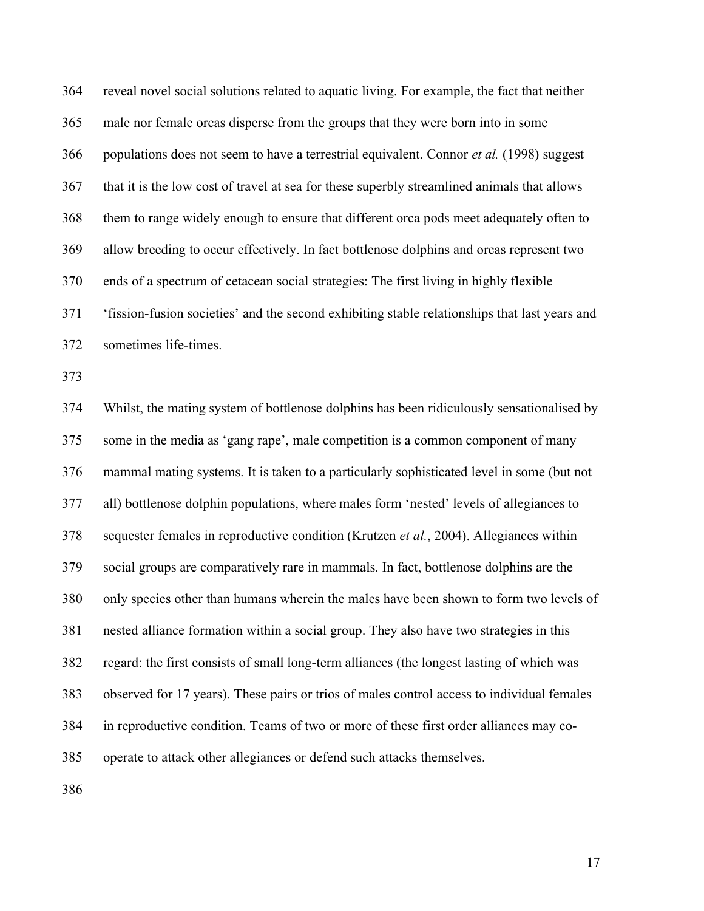364 reveal novel social solutions related to aquatic living. For example, the fact that neither 365 male nor female orcas disperse from the groups that they were born into in some 366 populations does not seem to have a terrestrial equivalent. Connor *et al.* (1998) suggest 367 that it is the low cost of travel at sea for these superbly streamlined animals that allows 368 them to range widely enough to ensure that different orca pods meet adequately often to 369 allow breeding to occur effectively. In fact bottlenose dolphins and orcas represent two 370 ends of a spectrum of cetacean social strategies: The first living in highly flexible 371 'fission-fusion societies' and the second exhibiting stable relationships that last years and 372 sometimes life-times.

373

374 Whilst, the mating system of bottlenose dolphins has been ridiculously sensationalised by 375 some in the media as 'gang rape', male competition is a common component of many 376 mammal mating systems. It is taken to a particularly sophisticated level in some (but not 377 all) bottlenose dolphin populations, where males form 'nested' levels of allegiances to 378 sequester females in reproductive condition (Krutzen *et al.*, 2004). Allegiances within 379 social groups are comparatively rare in mammals. In fact, bottlenose dolphins are the 380 only species other than humans wherein the males have been shown to form two levels of 381 nested alliance formation within a social group. They also have two strategies in this 382 regard: the first consists of small long-term alliances (the longest lasting of which was 383 observed for 17 years). These pairs or trios of males control access to individual females 384 in reproductive condition. Teams of two or more of these first order alliances may co-385 operate to attack other allegiances or defend such attacks themselves.

386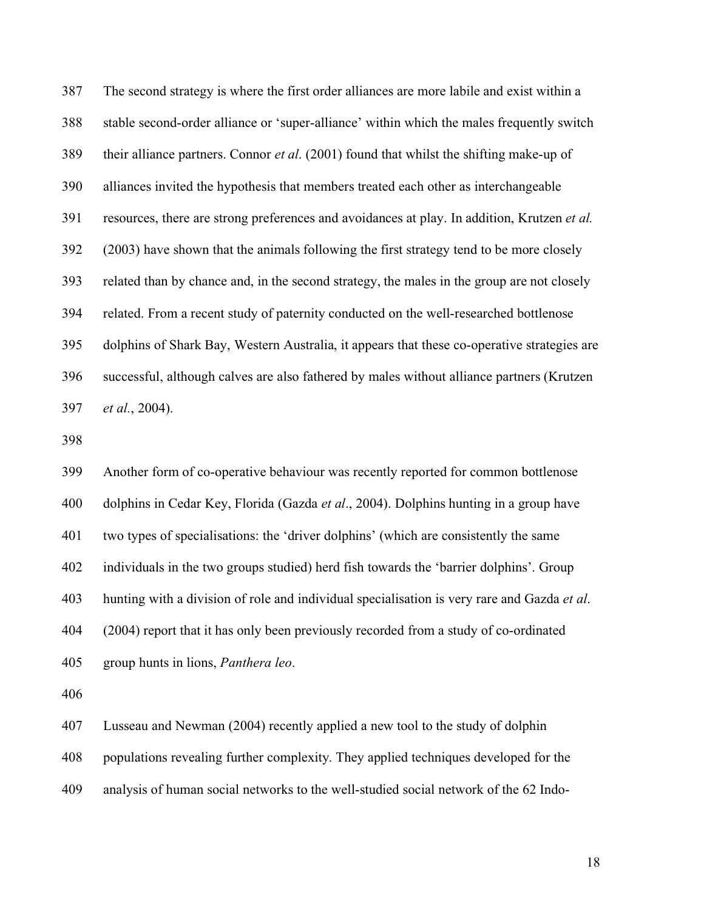387 The second strategy is where the first order alliances are more labile and exist within a 388 stable second-order alliance or 'super-alliance' within which the males frequently switch 389 their alliance partners. Connor *et al*. (2001) found that whilst the shifting make-up of 390 alliances invited the hypothesis that members treated each other as interchangeable 391 resources, there are strong preferences and avoidances at play. In addition, Krutzen *et al.* 392 (2003) have shown that the animals following the first strategy tend to be more closely 393 related than by chance and, in the second strategy, the males in the group are not closely 394 related. From a recent study of paternity conducted on the well-researched bottlenose 395 dolphins of Shark Bay, Western Australia, it appears that these co-operative strategies are 396 successful, although calves are also fathered by males without alliance partners (Krutzen 397 *et al.*, 2004).

398

399 Another form of co-operative behaviour was recently reported for common bottlenose 400 dolphins in Cedar Key, Florida (Gazda *et al*., 2004). Dolphins hunting in a group have 401 two types of specialisations: the 'driver dolphins' (which are consistently the same 402 individuals in the two groups studied) herd fish towards the 'barrier dolphins'. Group 403 hunting with a division of role and individual specialisation is very rare and Gazda *et al*. 404 (2004) report that it has only been previously recorded from a study of co-ordinated 405 group hunts in lions, *Panthera leo*.

406

407 Lusseau and Newman (2004) recently applied a new tool to the study of dolphin

408 populations revealing further complexity. They applied techniques developed for the

409 analysis of human social networks to the well-studied social network of the 62 Indo-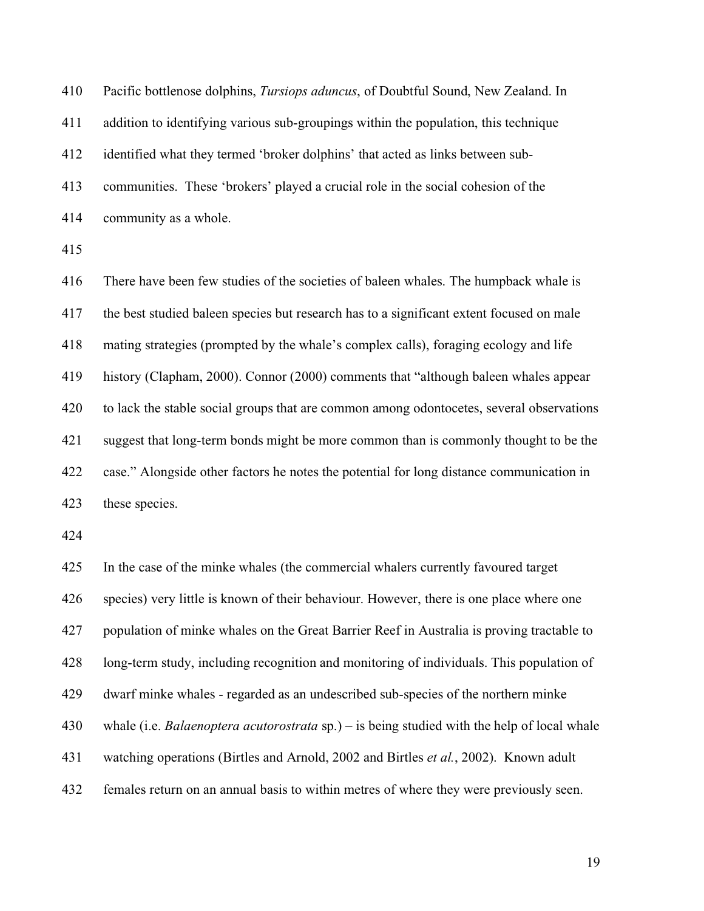| 410 | Pacific bottlenose dolphins, Tursiops aduncus, of Doubtful Sound, New Zealand. In        |
|-----|------------------------------------------------------------------------------------------|
| 411 | addition to identifying various sub-groupings within the population, this technique      |
| 412 | identified what they termed 'broker dolphins' that acted as links between sub-           |
| 413 | communities. These 'brokers' played a crucial role in the social cohesion of the         |
| 414 | community as a whole.                                                                    |
| 415 |                                                                                          |
| 416 | There have been few studies of the societies of baleen whales. The humpback whale is     |
| 417 | the best studied baleen species but research has to a significant extent focused on male |
| 418 | mating strategies (prompted by the whale's complex calls), foraging ecology and life     |
| 419 | history (Clapham, 2000). Connor (2000) comments that "although baleen whales appear      |
| 420 | to lack the stable social groups that are common among odontocetes, several observations |
| 421 | suggest that long-term bonds might be more common than is commonly thought to be the     |
| 422 | case." Alongside other factors he notes the potential for long distance communication in |
| 423 | these species.                                                                           |
|     |                                                                                          |

425 In the case of the minke whales (the commercial whalers currently favoured target 426 species) very little is known of their behaviour. However, there is one place where one 427 population of minke whales on the Great Barrier Reef in Australia is proving tractable to 428 long-term study, including recognition and monitoring of individuals. This population of 429 dwarf minke whales - regarded as an undescribed sub-species of the northern minke 430 whale (i.e. *Balaenoptera acutorostrata* sp.) – is being studied with the help of local whale 431 watching operations (Birtles and Arnold, 2002 and Birtles *et al.*, 2002). Known adult 432 females return on an annual basis to within metres of where they were previously seen.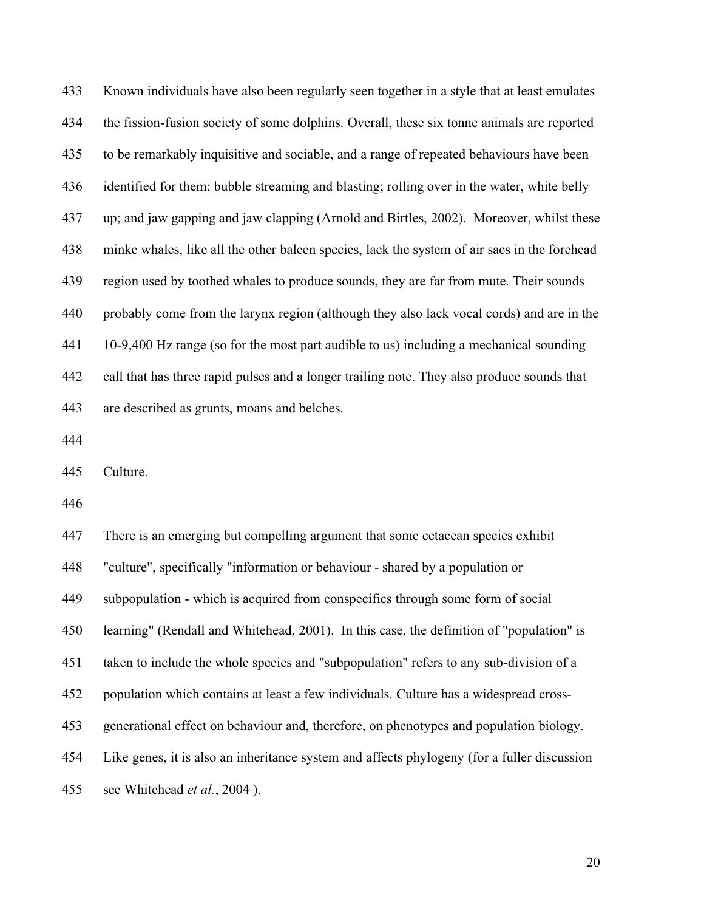433 Known individuals have also been regularly seen together in a style that at least emulates 434 the fission-fusion society of some dolphins. Overall, these six tonne animals are reported 435 to be remarkably inquisitive and sociable, and a range of repeated behaviours have been 436 identified for them: bubble streaming and blasting; rolling over in the water, white belly 437 up; and jaw gapping and jaw clapping (Arnold and Birtles, 2002). Moreover, whilst these 438 minke whales, like all the other baleen species, lack the system of air sacs in the forehead 439 region used by toothed whales to produce sounds, they are far from mute. Their sounds 440 probably come from the larynx region (although they also lack vocal cords) and are in the 441 10-9,400 Hz range (so for the most part audible to us) including a mechanical sounding 442 call that has three rapid pulses and a longer trailing note. They also produce sounds that 443 are described as grunts, moans and belches.

444

445 Culture.

446

447 There is an emerging but compelling argument that some cetacean species exhibit 448 "culture", specifically "information or behaviour - shared by a population or 449 subpopulation - which is acquired from conspecifics through some form of social 450 learning" (Rendall and Whitehead, 2001). In this case, the definition of "population" is 451 taken to include the whole species and "subpopulation" refers to any sub-division of a 452 population which contains at least a few individuals. Culture has a widespread cross-453 generational effect on behaviour and, therefore, on phenotypes and population biology. 454 Like genes, it is also an inheritance system and affects phylogeny (for a fuller discussion 455 see Whitehead *et al.*, 2004 ).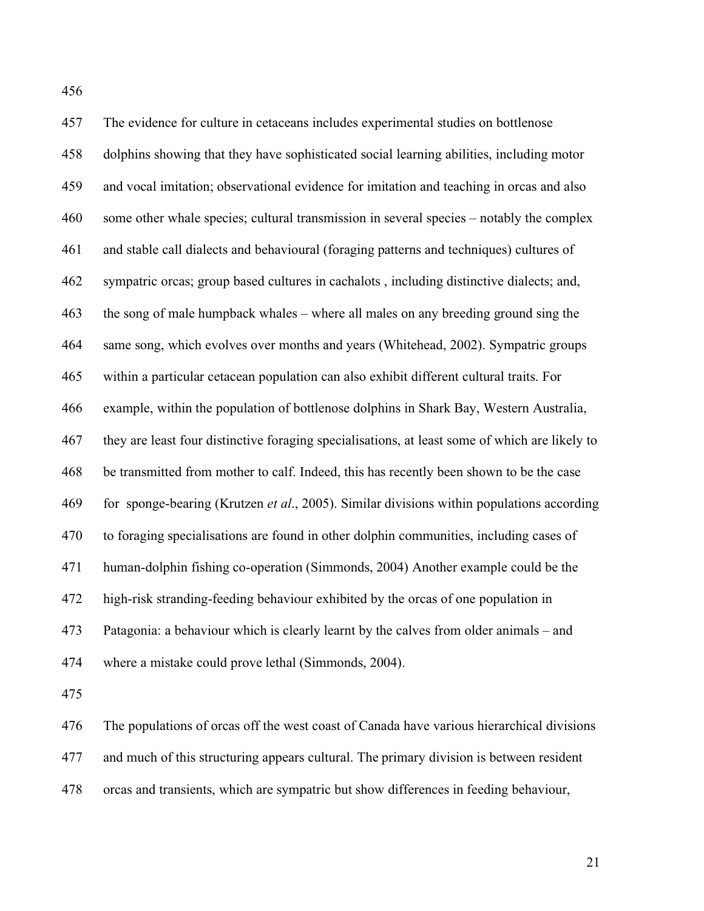457 The evidence for culture in cetaceans includes experimental studies on bottlenose 458 dolphins showing that they have sophisticated social learning abilities, including motor 459 and vocal imitation; observational evidence for imitation and teaching in orcas and also 460 some other whale species; cultural transmission in several species – notably the complex 461 and stable call dialects and behavioural (foraging patterns and techniques) cultures of 462 sympatric orcas; group based cultures in cachalots , including distinctive dialects; and, 463 the song of male humpback whales – where all males on any breeding ground sing the 464 same song, which evolves over months and years (Whitehead, 2002). Sympatric groups 465 within a particular cetacean population can also exhibit different cultural traits. For 466 example, within the population of bottlenose dolphins in Shark Bay, Western Australia, 467 they are least four distinctive foraging specialisations, at least some of which are likely to 468 be transmitted from mother to calf. Indeed, this has recently been shown to be the case 469 for sponge-bearing (Krutzen *et al*., 2005). Similar divisions within populations according 470 to foraging specialisations are found in other dolphin communities, including cases of 471 human-dolphin fishing co-operation (Simmonds, 2004) Another example could be the 472 high-risk stranding-feeding behaviour exhibited by the orcas of one population in 473 Patagonia: a behaviour which is clearly learnt by the calves from older animals – and 474 where a mistake could prove lethal (Simmonds, 2004).

475

476 The populations of orcas off the west coast of Canada have various hierarchical divisions 477 and much of this structuring appears cultural. The primary division is between resident 478 orcas and transients, which are sympatric but show differences in feeding behaviour,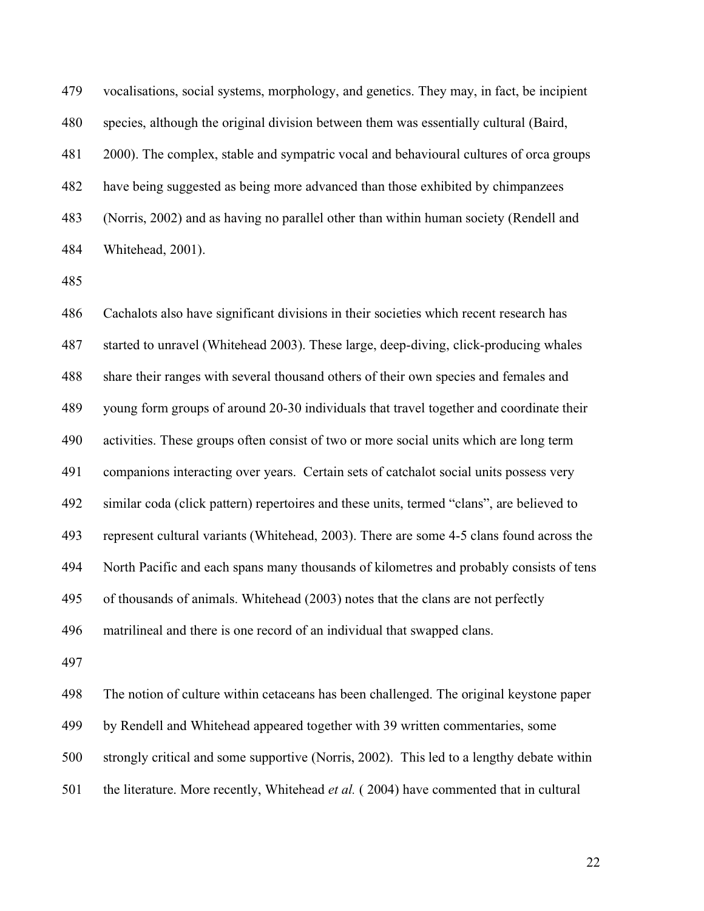479 vocalisations, social systems, morphology, and genetics. They may, in fact, be incipient 480 species, although the original division between them was essentially cultural (Baird, 481 2000). The complex, stable and sympatric vocal and behavioural cultures of orca groups 482 have being suggested as being more advanced than those exhibited by chimpanzees 483 (Norris, 2002) and as having no parallel other than within human society (Rendell and 484 Whitehead, 2001).

485

486 Cachalots also have significant divisions in their societies which recent research has 487 started to unravel (Whitehead 2003). These large, deep-diving, click-producing whales 488 share their ranges with several thousand others of their own species and females and 489 young form groups of around 20-30 individuals that travel together and coordinate their 490 activities. These groups often consist of two or more social units which are long term 491 companions interacting over years. Certain sets of catchalot social units possess very 492 similar coda (click pattern) repertoires and these units, termed "clans", are believed to 493 represent cultural variants (Whitehead, 2003). There are some 4-5 clans found across the 494 North Pacific and each spans many thousands of kilometres and probably consists of tens 495 of thousands of animals. Whitehead (2003) notes that the clans are not perfectly 496 matrilineal and there is one record of an individual that swapped clans.

497

498 The notion of culture within cetaceans has been challenged. The original keystone paper 499 by Rendell and Whitehead appeared together with 39 written commentaries, some 500 strongly critical and some supportive (Norris, 2002). This led to a lengthy debate within 501 the literature. More recently, Whitehead *et al.* ( 2004) have commented that in cultural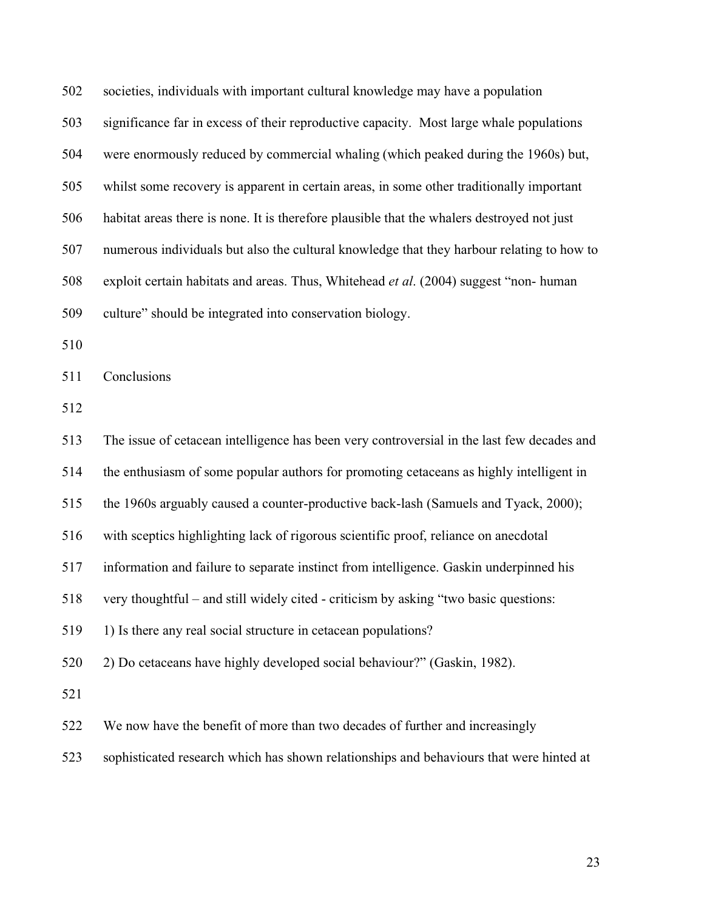502 societies, individuals with important cultural knowledge may have a population 503 significance far in excess of their reproductive capacity. Most large whale populations 504 were enormously reduced by commercial whaling (which peaked during the 1960s) but, 505 whilst some recovery is apparent in certain areas, in some other traditionally important 506 habitat areas there is none. It is therefore plausible that the whalers destroyed not just 507 numerous individuals but also the cultural knowledge that they harbour relating to how to 508 exploit certain habitats and areas. Thus, Whitehead *et al*. (2004) suggest "non- human 509 culture" should be integrated into conservation biology.

510

511 Conclusions

512

513 The issue of cetacean intelligence has been very controversial in the last few decades and 514 the enthusiasm of some popular authors for promoting cetaceans as highly intelligent in 515 the 1960s arguably caused a counter-productive back-lash (Samuels and Tyack, 2000); 516 with sceptics highlighting lack of rigorous scientific proof, reliance on anecdotal 517 information and failure to separate instinct from intelligence. Gaskin underpinned his 518 very thoughtful – and still widely cited - criticism by asking "two basic questions: 519 1) Is there any real social structure in cetacean populations? 520 2) Do cetaceans have highly developed social behaviour?" (Gaskin, 1982). 521 522 We now have the benefit of more than two decades of further and increasingly

523 sophisticated research which has shown relationships and behaviours that were hinted at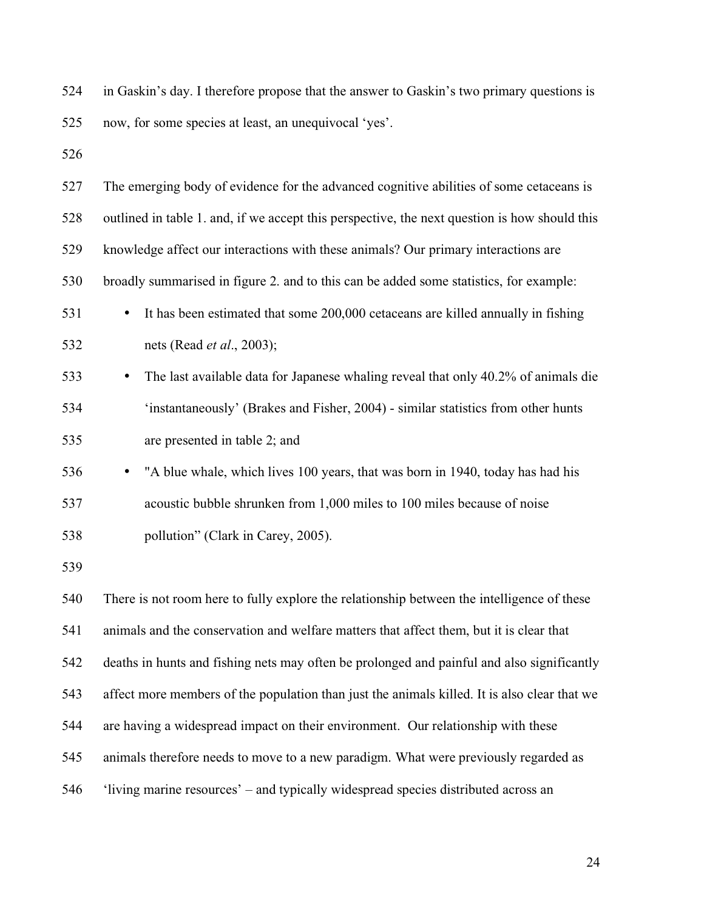| 524 | in Gaskin's day. I therefore propose that the answer to Gaskin's two primary questions is     |  |  |  |  |
|-----|-----------------------------------------------------------------------------------------------|--|--|--|--|
| 525 | now, for some species at least, an unequivocal 'yes'.                                         |  |  |  |  |
| 526 |                                                                                               |  |  |  |  |
| 527 | The emerging body of evidence for the advanced cognitive abilities of some cetaceans is       |  |  |  |  |
| 528 | outlined in table 1. and, if we accept this perspective, the next question is how should this |  |  |  |  |
| 529 | knowledge affect our interactions with these animals? Our primary interactions are            |  |  |  |  |
| 530 | broadly summarised in figure 2. and to this can be added some statistics, for example:        |  |  |  |  |
| 531 | It has been estimated that some 200,000 cetaceans are killed annually in fishing<br>$\bullet$ |  |  |  |  |
| 532 | nets (Read <i>et al.</i> , 2003);                                                             |  |  |  |  |
| 533 | The last available data for Japanese whaling reveal that only 40.2% of animals die<br>٠       |  |  |  |  |
| 534 | 'instantaneously' (Brakes and Fisher, 2004) - similar statistics from other hunts             |  |  |  |  |
| 535 | are presented in table 2; and                                                                 |  |  |  |  |
| 536 | "A blue whale, which lives 100 years, that was born in 1940, today has had his<br>$\bullet$   |  |  |  |  |
| 537 | acoustic bubble shrunken from 1,000 miles to 100 miles because of noise                       |  |  |  |  |
| 538 | pollution" (Clark in Carey, 2005).                                                            |  |  |  |  |
| 539 |                                                                                               |  |  |  |  |
| 540 | There is not room here to fully explore the relationship between the intelligence of these    |  |  |  |  |
| 541 | animals and the conservation and welfare matters that affect them, but it is clear that       |  |  |  |  |
| 542 | deaths in hunts and fishing nets may often be prolonged and painful and also significantly    |  |  |  |  |
| 543 | affect more members of the population than just the animals killed. It is also clear that we  |  |  |  |  |
| 544 | are having a widespread impact on their environment. Our relationship with these              |  |  |  |  |
| 545 | animals therefore needs to move to a new paradigm. What were previously regarded as           |  |  |  |  |
| 546 | 'living marine resources' – and typically widespread species distributed across an            |  |  |  |  |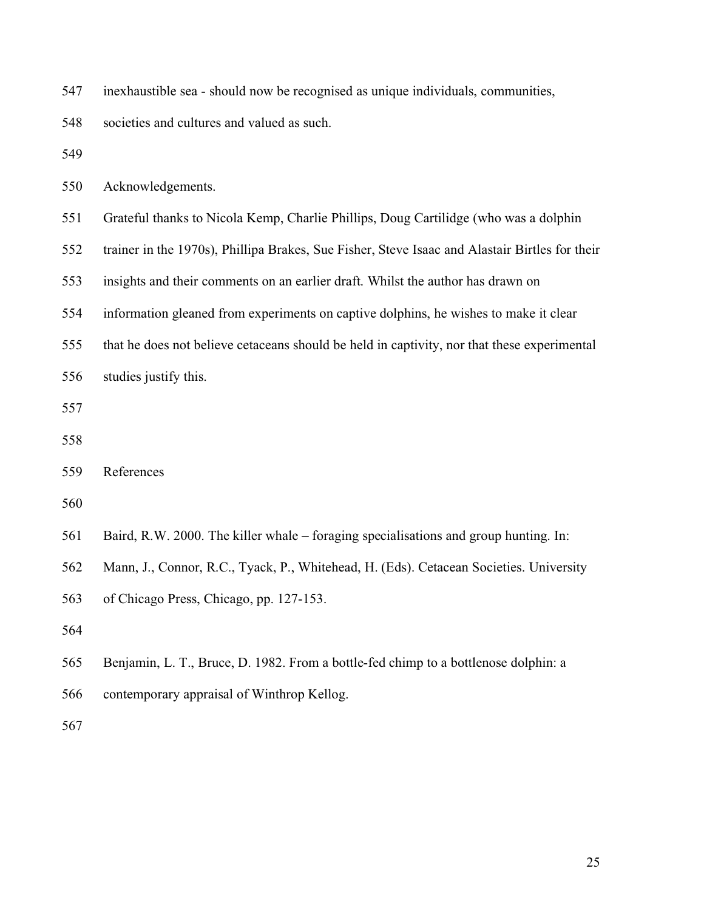| 547 |  | inexhaustible sea - should now be recognised as unique individuals, communities, |  |
|-----|--|----------------------------------------------------------------------------------|--|
|     |  |                                                                                  |  |

548 societies and cultures and valued as such.

549

550 Acknowledgements.

- 551 Grateful thanks to Nicola Kemp, Charlie Phillips, Doug Cartilidge (who was a dolphin
- 552 trainer in the 1970s), Phillipa Brakes, Sue Fisher, Steve Isaac and Alastair Birtles for their
- 553 insights and their comments on an earlier draft. Whilst the author has drawn on
- 554 information gleaned from experiments on captive dolphins, he wishes to make it clear
- 555 that he does not believe cetaceans should be held in captivity, nor that these experimental
- 556 studies justify this.
- 557
- 558

- 560
- 561 Baird, R.W. 2000. The killer whale foraging specialisations and group hunting. In:
- 562 Mann, J., Connor, R.C., Tyack, P., Whitehead, H. (Eds). Cetacean Societies. University
- 563 of Chicago Press, Chicago, pp. 127-153.
- 564
- 565 Benjamin, L. T., Bruce, D. 1982. From a bottle-fed chimp to a bottlenose dolphin: a
- 566 contemporary appraisal of Winthrop Kellog.
- 567

<sup>559</sup> References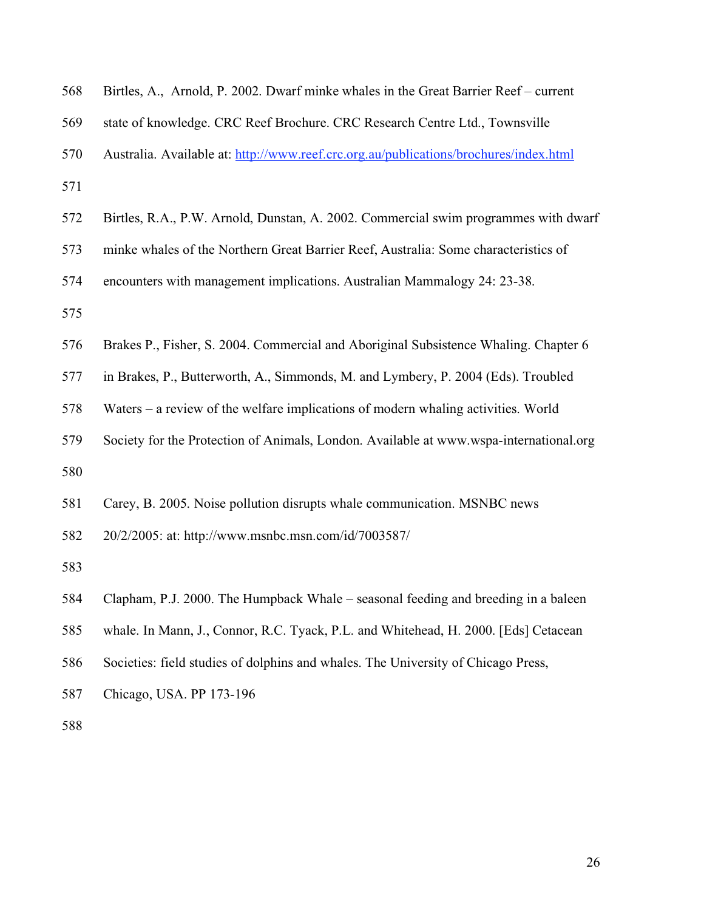| 568 | Birtles, A., Arnold, P. 2002. Dwarf minke whales in the Great Barrier Reef – current   |
|-----|----------------------------------------------------------------------------------------|
| 569 | state of knowledge. CRC Reef Brochure. CRC Research Centre Ltd., Townsville            |
| 570 | Australia. Available at: http://www.reef.crc.org.au/publications/brochures/index.html  |
| 571 |                                                                                        |
| 572 | Birtles, R.A., P.W. Arnold, Dunstan, A. 2002. Commercial swim programmes with dwarf    |
| 573 | minke whales of the Northern Great Barrier Reef, Australia: Some characteristics of    |
| 574 | encounters with management implications. Australian Mammalogy 24: 23-38.               |
| 575 |                                                                                        |
| 576 | Brakes P., Fisher, S. 2004. Commercial and Aboriginal Subsistence Whaling. Chapter 6   |
| 577 | in Brakes, P., Butterworth, A., Simmonds, M. and Lymbery, P. 2004 (Eds). Troubled      |
| 578 | Waters – a review of the welfare implications of modern whaling activities. World      |
| 579 | Society for the Protection of Animals, London. Available at www.wspa-international.org |
| 580 |                                                                                        |
| 581 | Carey, B. 2005. Noise pollution disrupts whale communication. MSNBC news               |
| 582 | 20/2/2005: at: http://www.msnbc.msn.com/id/7003587/                                    |
| 583 |                                                                                        |
| 584 | Clapham, P.J. 2000. The Humpback Whale – seasonal feeding and breeding in a baleen     |
| 585 | whale. In Mann, J., Connor, R.C. Tyack, P.L. and Whitehead, H. 2000. [Eds] Cetacean    |
| 586 | Societies: field studies of dolphins and whales. The University of Chicago Press,      |
| 587 | Chicago, USA. PP 173-196                                                               |
| 588 |                                                                                        |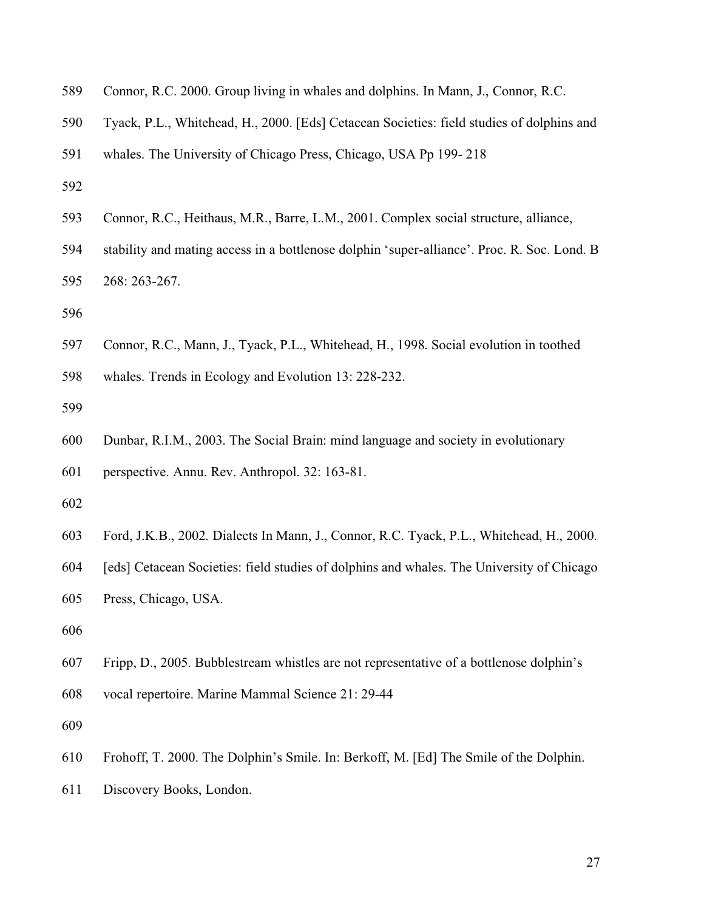| 589 |  |  |  | Connor, R.C. 2000. Group living in whales and dolphins. In Mann, J., Connor, R.C. |
|-----|--|--|--|-----------------------------------------------------------------------------------|
|-----|--|--|--|-----------------------------------------------------------------------------------|

- 590 Tyack, P.L., Whitehead, H., 2000. [Eds] Cetacean Societies: field studies of dolphins and
- 591 whales. The University of Chicago Press, Chicago, USA Pp 199- 218
- 592
- 593 Connor, R.C., Heithaus, M.R., Barre, L.M., 2001. Complex social structure, alliance,
- 594 stability and mating access in a bottlenose dolphin 'super-alliance'. Proc. R. Soc. Lond. B 595 268: 263-267.

- 597 Connor, R.C., Mann, J., Tyack, P.L., Whitehead, H., 1998. Social evolution in toothed
- 598 whales. Trends in Ecology and Evolution 13: 228-232.
- 599
- 600 Dunbar, R.I.M., 2003. The Social Brain: mind language and society in evolutionary
- 601 perspective. Annu. Rev. Anthropol. 32: 163-81.
- 602
- 603 Ford, J.K.B., 2002. Dialects In Mann, J., Connor, R.C. Tyack, P.L., Whitehead, H., 2000.
- 604 [eds] Cetacean Societies: field studies of dolphins and whales. The University of Chicago
- 605 Press, Chicago, USA.
- 606
- 607 Fripp, D., 2005. Bubblestream whistles are not representative of a bottlenose dolphin's
- 608 vocal repertoire. Marine Mammal Science 21: 29-44
- 609
- 610 Frohoff, T. 2000. The Dolphin's Smile. In: Berkoff, M. [Ed] The Smile of the Dolphin.
- 611 Discovery Books, London.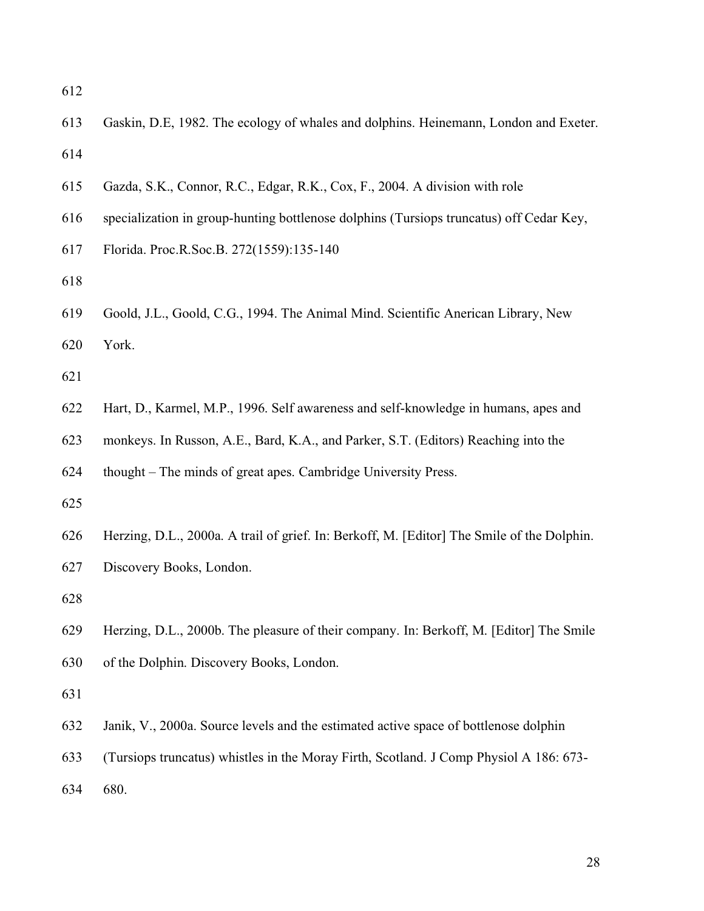- 613 Gaskin, D.E, 1982. The ecology of whales and dolphins. Heinemann, London and Exeter. 614
- 615 Gazda, S.K., Connor, R.C., Edgar, R.K., Cox, F., 2004. A division with role
- 616 specialization in group-hunting bottlenose dolphins (Tursiops truncatus) off Cedar Key,
- 617 Florida. Proc.R.Soc.B. 272(1559):135-140

618

619 Goold, J.L., Goold, C.G., 1994. The Animal Mind. Scientific Anerican Library, New

620 York.

621

- 622 Hart, D., Karmel, M.P., 1996. Self awareness and self-knowledge in humans, apes and
- 623 monkeys. In Russon, A.E., Bard, K.A., and Parker, S.T. (Editors) Reaching into the

624 thought – The minds of great apes. Cambridge University Press.

625

626 Herzing, D.L., 2000a. A trail of grief. In: Berkoff, M. [Editor] The Smile of the Dolphin.

627 Discovery Books, London.

628

629 Herzing, D.L., 2000b. The pleasure of their company. In: Berkoff, M. [Editor] The Smile 630 of the Dolphin. Discovery Books, London.

631

- 632 Janik, V., 2000a. Source levels and the estimated active space of bottlenose dolphin
- 633 (Tursiops truncatus) whistles in the Moray Firth, Scotland. J Comp Physiol A 186: 673-

634 680.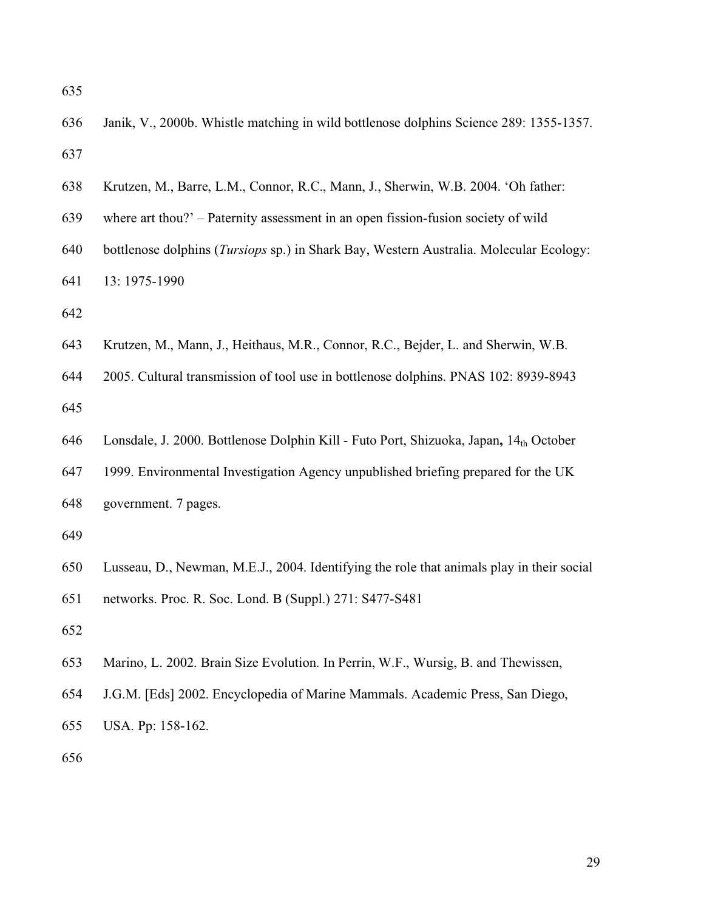- 636 Janik, V., 2000b. Whistle matching in wild bottlenose dolphins Science 289: 1355-1357. 637
- 638 Krutzen, M., Barre, L.M., Connor, R.C., Mann, J., Sherwin, W.B. 2004. 'Oh father:
- 639 where art thou?' Paternity assessment in an open fission-fusion society of wild
- 640 bottlenose dolphins (*Tursiops* sp.) in Shark Bay, Western Australia. Molecular Ecology:
- 641 13: 1975-1990
- 642
- 643 Krutzen, M., Mann, J., Heithaus, M.R., Connor, R.C., Bejder, L. and Sherwin, W.B.
- 644 2005. Cultural transmission of tool use in bottlenose dolphins. PNAS 102: 8939-8943 645
- 646 Lonsdale, J. 2000. Bottlenose Dolphin Kill Futo Port, Shizuoka, Japan**,** 14th October
- 647 1999. Environmental Investigation Agency unpublished briefing prepared for the UK 648 government. 7 pages.
- 649
- 650 Lusseau, D., Newman, M.E.J., 2004. Identifying the role that animals play in their social
- 651 networks. Proc. R. Soc. Lond. B (Suppl.) 271: S477-S481
- 652
- 653 Marino, L. 2002. Brain Size Evolution. In Perrin, W.F., Wursig, B. and Thewissen,
- 654 J.G.M. [Eds] 2002. Encyclopedia of Marine Mammals. Academic Press, San Diego,
- 656

655 USA. Pp: 158-162.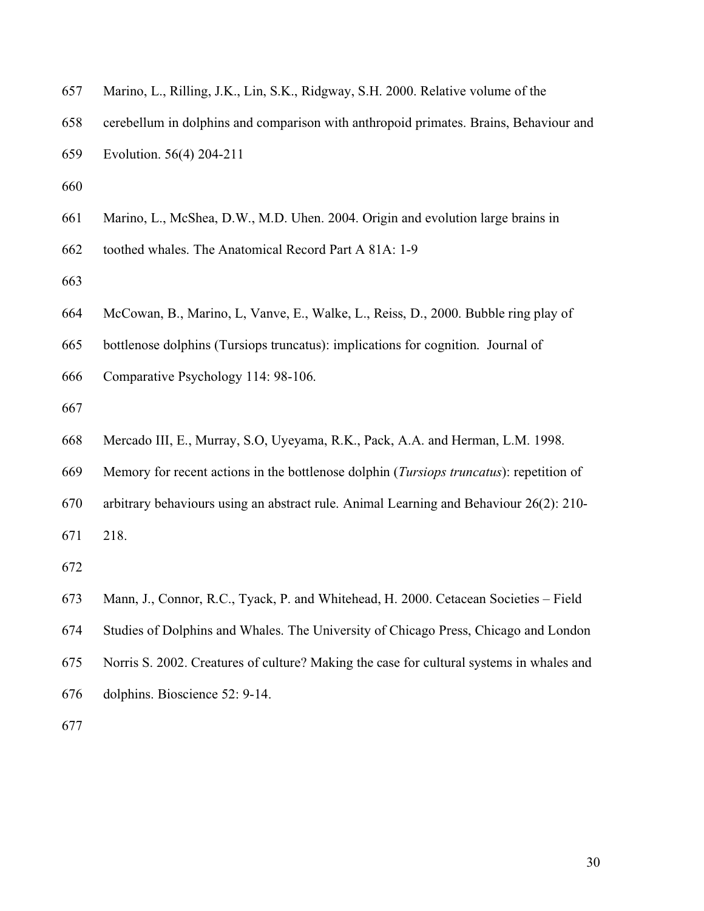| 657 | Marino, L., Rilling, J.K., Lin, S.K., Ridgway, S.H. 2000. Relative volume of the                 |
|-----|--------------------------------------------------------------------------------------------------|
| 658 | cerebellum in dolphins and comparison with anthropoid primates. Brains, Behaviour and            |
| 659 | Evolution. 56(4) 204-211                                                                         |
| 660 |                                                                                                  |
| 661 | Marino, L., McShea, D.W., M.D. Uhen. 2004. Origin and evolution large brains in                  |
| 662 | toothed whales. The Anatomical Record Part A 81A: 1-9                                            |
| 663 |                                                                                                  |
| 664 | McCowan, B., Marino, L., Vanve, E., Walke, L., Reiss, D., 2000. Bubble ring play of              |
| 665 | bottlenose dolphins (Tursiops truncatus): implications for cognition. Journal of                 |
| 666 | Comparative Psychology 114: 98-106.                                                              |
| 667 |                                                                                                  |
| 668 | Mercado III, E., Murray, S.O, Uyeyama, R.K., Pack, A.A. and Herman, L.M. 1998.                   |
| 669 | Memory for recent actions in the bottlenose dolphin ( <i>Tursiops truncatus</i> ): repetition of |
|     |                                                                                                  |

670 arbitrary behaviours using an abstract rule. Animal Learning and Behaviour 26(2): 210-

671 218.

672

673 Mann, J., Connor, R.C., Tyack, P. and Whitehead, H. 2000. Cetacean Societies – Field

674 Studies of Dolphins and Whales. The University of Chicago Press, Chicago and London

- 675 Norris S. 2002. Creatures of culture? Making the case for cultural systems in whales and
- 676 dolphins. Bioscience 52: 9-14.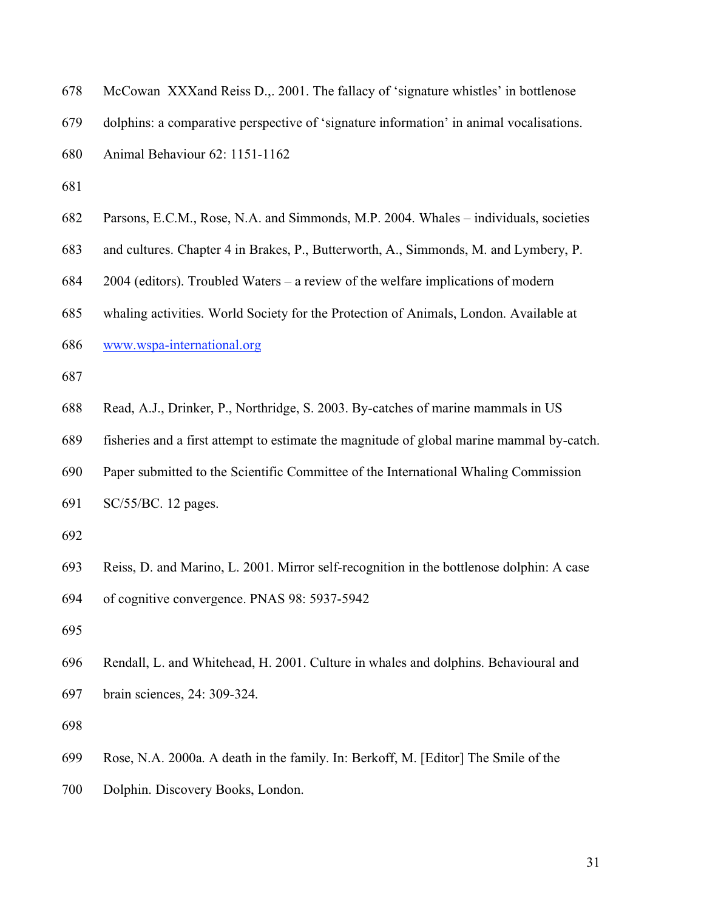| 678 | McCowan XXXand Reiss D., 2001. The fallacy of 'signature whistles' in bottlenose        |
|-----|-----------------------------------------------------------------------------------------|
| 679 | dolphins: a comparative perspective of 'signature information' in animal vocalisations. |
| 680 | Animal Behaviour 62: 1151-1162                                                          |
| 681 |                                                                                         |
| 682 | Parsons, E.C.M., Rose, N.A. and Simmonds, M.P. 2004. Whales – individuals, societies    |
| 683 | and cultures. Chapter 4 in Brakes, P., Butterworth, A., Simmonds, M. and Lymbery, P.    |
| 684 | $2004$ (editors). Troubled Waters – a review of the welfare implications of modern      |
|     |                                                                                         |

- 685 whaling activities. World Society for the Protection of Animals, London. Available at
- 686 www.wspa-international.org
- 687

688 Read, A.J., Drinker, P., Northridge, S. 2003. By-catches of marine mammals in US

689 fisheries and a first attempt to estimate the magnitude of global marine mammal by-catch.

690 Paper submitted to the Scientific Committee of the International Whaling Commission

- 691 SC/55/BC. 12 pages.
- 692

693 Reiss, D. and Marino, L. 2001. Mirror self-recognition in the bottlenose dolphin: A case 694 of cognitive convergence. PNAS 98: 5937-5942

695

696 Rendall, L. and Whitehead, H. 2001. Culture in whales and dolphins. Behavioural and 697 brain sciences, 24: 309-324.

698

699 Rose, N.A. 2000a. A death in the family. In: Berkoff, M. [Editor] The Smile of the

700 Dolphin. Discovery Books, London.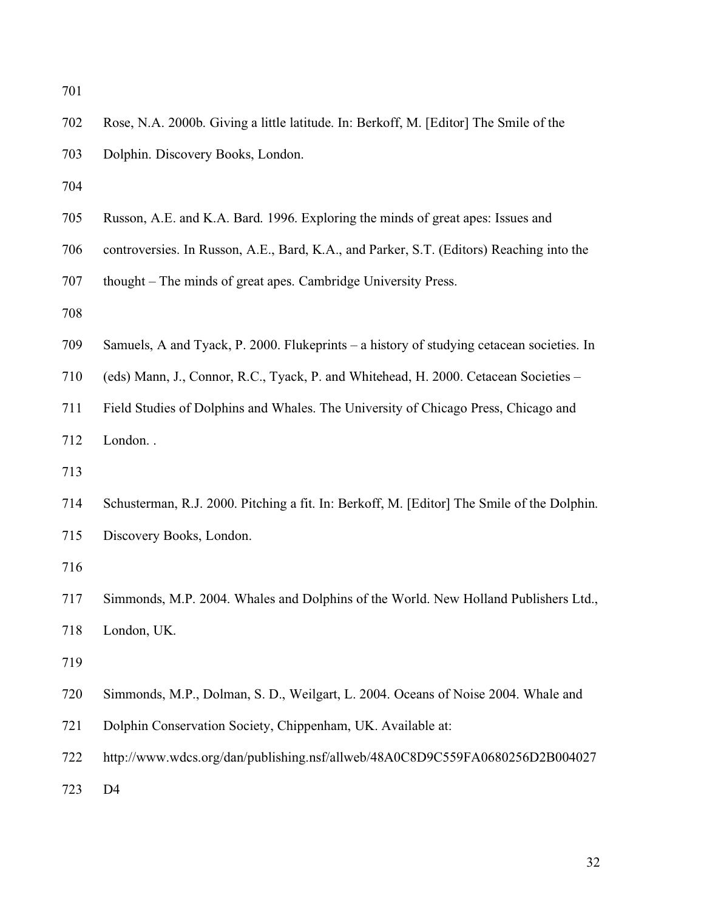| 702 | Rose, N.A. 2000b. Giving a little latitude. In: Berkoff, M. [Editor] The Smile of the      |
|-----|--------------------------------------------------------------------------------------------|
| 703 | Dolphin. Discovery Books, London.                                                          |
| 704 |                                                                                            |
| 705 | Russon, A.E. and K.A. Bard. 1996. Exploring the minds of great apes: Issues and            |
| 706 | controversies. In Russon, A.E., Bard, K.A., and Parker, S.T. (Editors) Reaching into the   |
| 707 | thought – The minds of great apes. Cambridge University Press.                             |
| 708 |                                                                                            |
| 709 | Samuels, A and Tyack, P. 2000. Flukeprints – a history of studying cetacean societies. In  |
| 710 | (eds) Mann, J., Connor, R.C., Tyack, P. and Whitehead, H. 2000. Cetacean Societies -       |
| 711 | Field Studies of Dolphins and Whales. The University of Chicago Press, Chicago and         |
| 712 | London                                                                                     |
| 713 |                                                                                            |
| 714 | Schusterman, R.J. 2000. Pitching a fit. In: Berkoff, M. [Editor] The Smile of the Dolphin. |
| 715 | Discovery Books, London.                                                                   |
| 716 |                                                                                            |
| 717 | Simmonds, M.P. 2004. Whales and Dolphins of the World. New Holland Publishers Ltd.,        |
| 718 | London, UK.                                                                                |
| 719 |                                                                                            |
| 720 | Simmonds, M.P., Dolman, S. D., Weilgart, L. 2004. Oceans of Noise 2004. Whale and          |
| 721 | Dolphin Conservation Society, Chippenham, UK. Available at:                                |
| 722 | http://www.wdcs.org/dan/publishing.nsf/allweb/48A0C8D9C559FA0680256D2B004027               |
| 723 | D <sub>4</sub>                                                                             |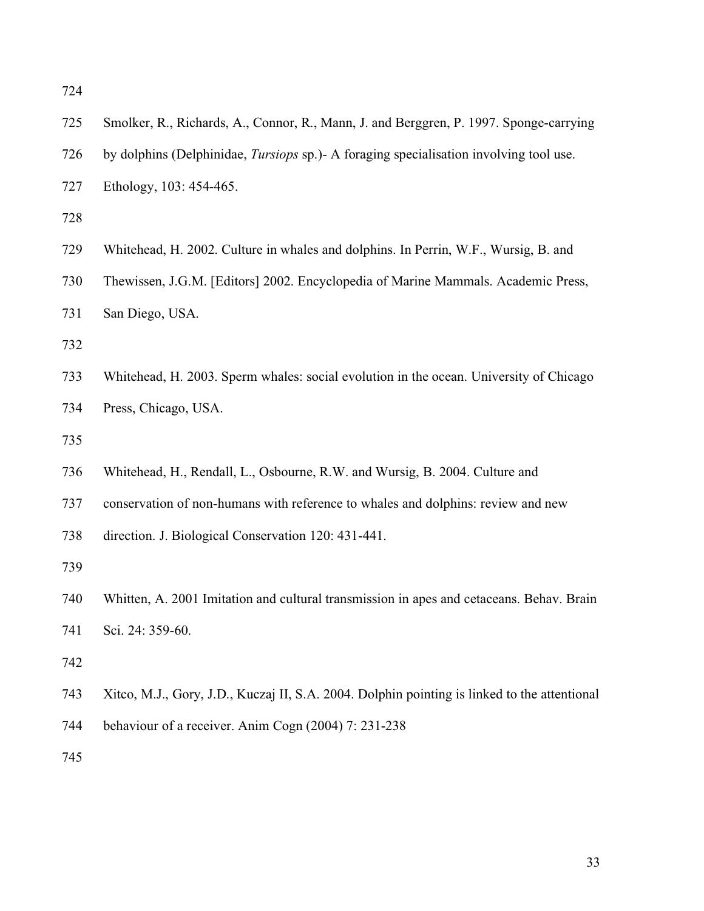| 725 | Smolker, R., Richards, A., Connor, R., Mann, J. and Berggren, P. 1997. Sponge-carrying        |
|-----|-----------------------------------------------------------------------------------------------|
| 726 | by dolphins (Delphinidae, <i>Tursiops</i> sp.)- A foraging specialisation involving tool use. |
| 727 | Ethology, 103: 454-465.                                                                       |
| 728 |                                                                                               |
| 729 | Whitehead, H. 2002. Culture in whales and dolphins. In Perrin, W.F., Wursig, B. and           |
| 730 | Thewissen, J.G.M. [Editors] 2002. Encyclopedia of Marine Mammals. Academic Press,             |
| 731 | San Diego, USA.                                                                               |
| 732 |                                                                                               |
| 733 | Whitehead, H. 2003. Sperm whales: social evolution in the ocean. University of Chicago        |
| 734 | Press, Chicago, USA.                                                                          |
| 735 |                                                                                               |
| 736 | Whitehead, H., Rendall, L., Osbourne, R.W. and Wursig, B. 2004. Culture and                   |
| 737 | conservation of non-humans with reference to whales and dolphins: review and new              |
| 738 | direction. J. Biological Conservation 120: 431-441.                                           |
| 739 |                                                                                               |
| 740 | Whitten, A. 2001 Imitation and cultural transmission in apes and cetaceans. Behav. Brain      |
| 741 | Sci. 24: 359-60.                                                                              |
| 742 |                                                                                               |
| 743 | Xitco, M.J., Gory, J.D., Kuczaj II, S.A. 2004. Dolphin pointing is linked to the attentional  |
| 744 | behaviour of a receiver. Anim Cogn (2004) 7: 231-238                                          |
| 745 |                                                                                               |
|     |                                                                                               |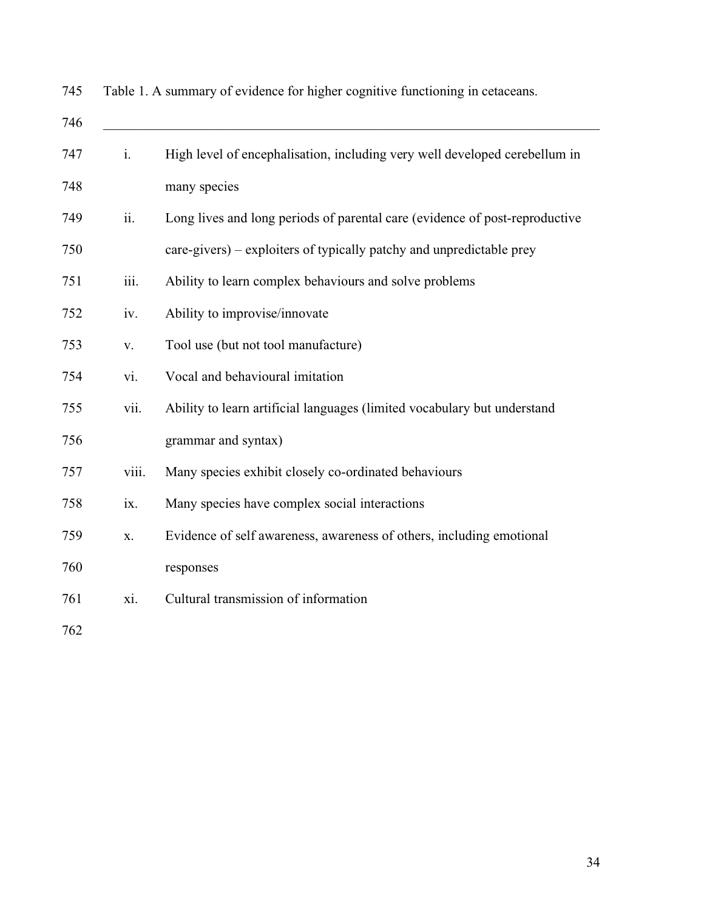| 746 |       |                                                                             |
|-----|-------|-----------------------------------------------------------------------------|
| 747 | i.    | High level of encephalisation, including very well developed cerebellum in  |
| 748 |       | many species                                                                |
| 749 | ii.   | Long lives and long periods of parental care (evidence of post-reproductive |
| 750 |       | care-givers) – exploiters of typically patchy and unpredictable prey        |
| 751 | iii.  | Ability to learn complex behaviours and solve problems                      |
| 752 | iv.   | Ability to improvise/innovate                                               |
| 753 | V.    | Tool use (but not tool manufacture)                                         |
| 754 | vi.   | Vocal and behavioural imitation                                             |
| 755 | vii.  | Ability to learn artificial languages (limited vocabulary but understand    |
| 756 |       | grammar and syntax)                                                         |
| 757 | viii. | Many species exhibit closely co-ordinated behaviours                        |
| 758 | ix.   | Many species have complex social interactions                               |
| 759 | X.    | Evidence of self awareness, awareness of others, including emotional        |
| 760 |       | responses                                                                   |
| 761 | xi.   | Cultural transmission of information                                        |
| 762 |       |                                                                             |

745 Table 1. A summary of evidence for higher cognitive functioning in cetaceans.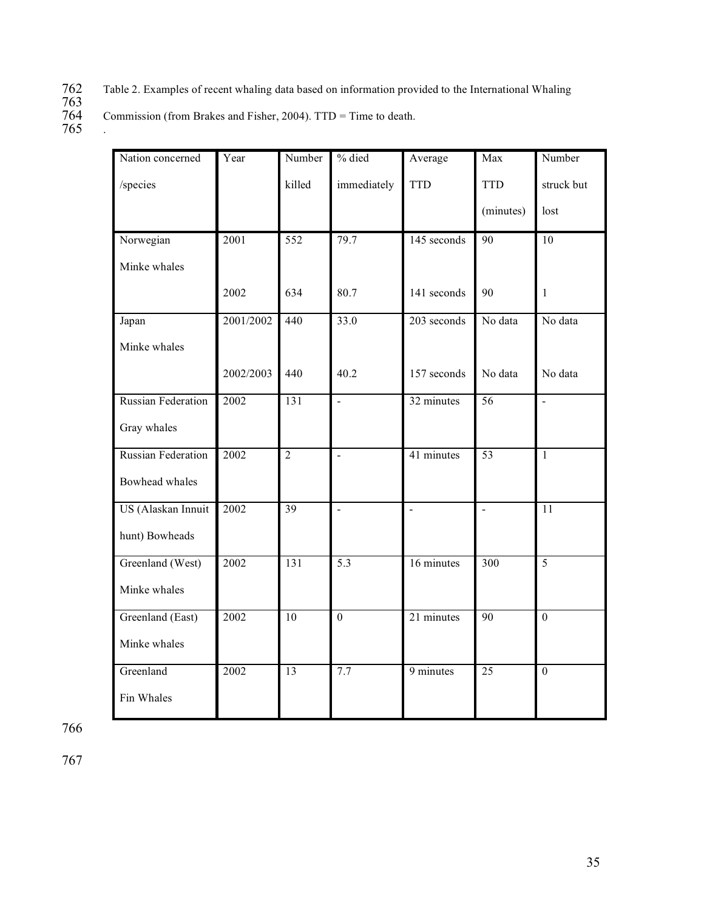- Table 2. Examples of recent whaling data based on information provided to the International Whaling
- 763 Commission (from Brakes and Fisher, 2004). TTD = Time to death.
- 765 .

| Nation concerned          | Year              | Number          | % died               | Average        | Max             | Number         |
|---------------------------|-------------------|-----------------|----------------------|----------------|-----------------|----------------|
| /species                  |                   | killed          | immediately          | <b>TTD</b>     | <b>TTD</b>      | struck but     |
|                           |                   |                 |                      |                | (minutes)       | lost           |
| Norwegian                 | $\overline{2001}$ | 552             | 79.7                 | 145 seconds    | 90              | 10             |
| Minke whales              |                   |                 |                      |                |                 |                |
|                           | 2002              | 634             | 80.7                 | 141 seconds    | 90              | 1              |
| Japan                     | 2001/2002         | 440             | 33.0                 | 203 seconds    | No data         | No data        |
| Minke whales              |                   |                 |                      |                |                 |                |
|                           | 2002/2003         | 440             | 40.2                 | 157 seconds    | No data         | No data        |
| <b>Russian Federation</b> | 2002              | 131             | $\overline{a}$       | 32 minutes     | $\overline{56}$ | $\overline{a}$ |
| Gray whales               |                   |                 |                      |                |                 |                |
| <b>Russian Federation</b> | 2002              | $\overline{2}$  | $\overline{a}$       | 41 minutes     | 53              | $\mathbf{1}$   |
| Bowhead whales            |                   |                 |                      |                |                 |                |
| US (Alaskan Innuit        | 2002              | $\overline{39}$ | $\ddot{\phantom{a}}$ | $\overline{a}$ | $\overline{a}$  | 11             |
| hunt) Bowheads            |                   |                 |                      |                |                 |                |
| Greenland (West)          | 2002              | 131             | 5.3                  | 16 minutes     | 300             | $\overline{5}$ |
| Minke whales              |                   |                 |                      |                |                 |                |
| Greenland (East)          | 2002              | 10              | $\boldsymbol{0}$     | 21 minutes     | 90              | $\overline{0}$ |
| Minke whales              |                   |                 |                      |                |                 |                |
| Greenland                 | 2002              | $\overline{13}$ | 7.7                  | 9 minutes      | $\overline{25}$ | $\overline{0}$ |
| Fin Whales                |                   |                 |                      |                |                 |                |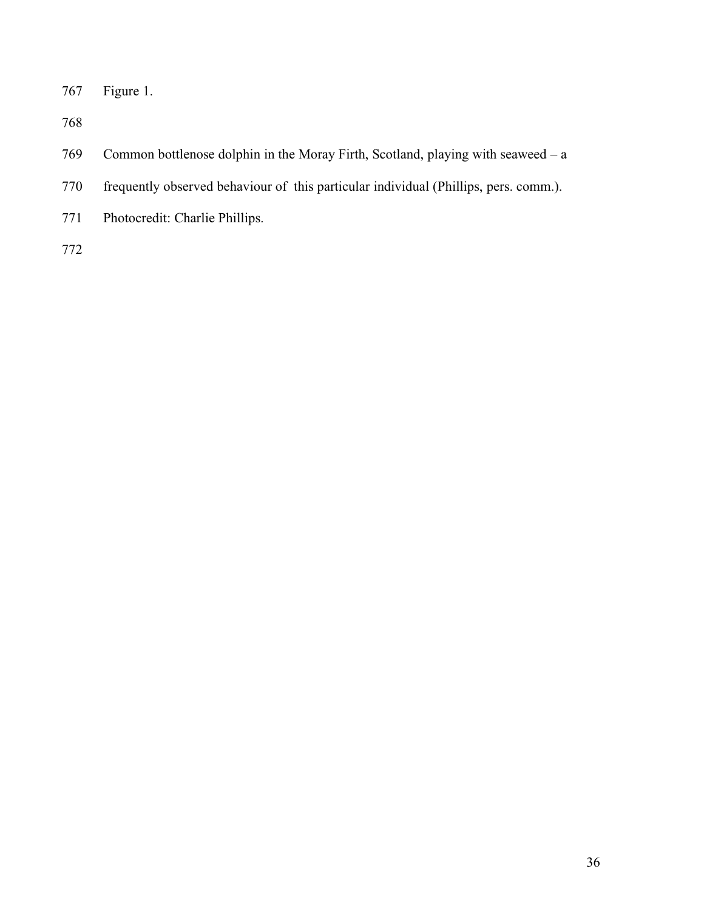767 Figure 1.

768

- 769 Common bottlenose dolphin in the Moray Firth, Scotland, playing with seaweed a
- 770 frequently observed behaviour of this particular individual (Phillips, pers. comm.).
- 771 Photocredit: Charlie Phillips.